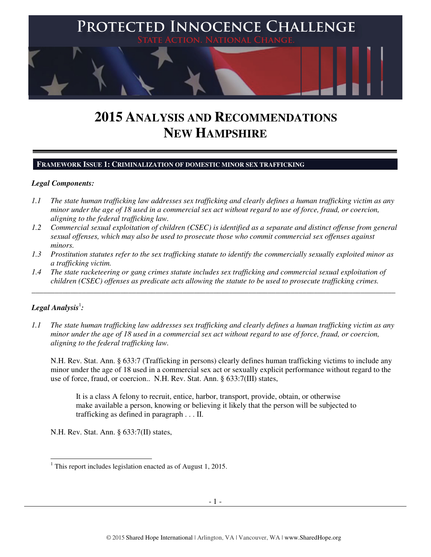

# **2015 ANALYSIS AND RECOMMENDATIONS NEW HAMPSHIRE**

#### **FRAMEWORK ISSUE 1: CRIMINALIZATION OF DOMESTIC MINOR SEX TRAFFICKING**

#### *Legal Components:*

- *1.1 The state human trafficking law addresses sex trafficking and clearly defines a human trafficking victim as any minor under the age of 18 used in a commercial sex act without regard to use of force, fraud, or coercion, aligning to the federal trafficking law.*
- *1.2 Commercial sexual exploitation of children (CSEC) is identified as a separate and distinct offense from general sexual offenses, which may also be used to prosecute those who commit commercial sex offenses against minors.*
- *1.3 Prostitution statutes refer to the sex trafficking statute to identify the commercially sexually exploited minor as a trafficking victim.*
- *1.4 The state racketeering or gang crimes statute includes sex trafficking and commercial sexual exploitation of children (CSEC) offenses as predicate acts allowing the statute to be used to prosecute trafficking crimes.*

\_\_\_\_\_\_\_\_\_\_\_\_\_\_\_\_\_\_\_\_\_\_\_\_\_\_\_\_\_\_\_\_\_\_\_\_\_\_\_\_\_\_\_\_\_\_\_\_\_\_\_\_\_\_\_\_\_\_\_\_\_\_\_\_\_\_\_\_\_\_\_\_\_\_\_\_\_\_\_\_\_\_\_\_\_\_\_\_\_\_\_\_\_\_

# $\bm{L}$ egal Analysis $^{\rm l}$ :

*1.1 The state human trafficking law addresses sex trafficking and clearly defines a human trafficking victim as any minor under the age of 18 used in a commercial sex act without regard to use of force, fraud, or coercion, aligning to the federal trafficking law.* 

N.H. Rev. Stat. Ann. § 633:7 (Trafficking in persons) clearly defines human trafficking victims to include any minor under the age of 18 used in a commercial sex act or sexually explicit performance without regard to the use of force, fraud, or coercion.. N.H. Rev. Stat. Ann. § 633:7(III) states,

It is a class A felony to recruit, entice, harbor, transport, provide, obtain, or otherwise make available a person, knowing or believing it likely that the person will be subjected to trafficking as defined in paragraph . . . II.

N.H. Rev. Stat. Ann. § 633:7(II) states,

 1 This report includes legislation enacted as of August 1, 2015.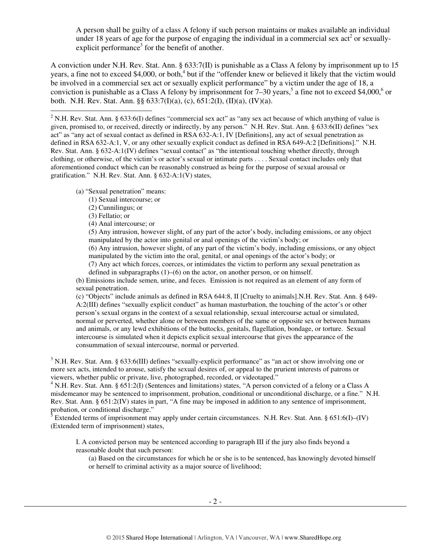A person shall be guilty of a class A felony if such person maintains or makes available an individual under 18 years of age for the purpose of engaging the individual in a commercial sex act<sup>2</sup> or sexuallyexplicit performance<sup>3</sup> for the benefit of another.

A conviction under N.H. Rev. Stat. Ann. § 633:7(II) is punishable as a Class A felony by imprisonment up to 15 years, a fine not to exceed \$4,000, or both,<sup>4</sup> but if the "offender knew or believed it likely that the victim would be involved in a commercial sex act or sexually explicit performance" by a victim under the age of 18, a conviction is punishable as a Class A felony by imprisonment for  $7-30$  years,<sup>5</sup> a fine not to exceed \$4,000,<sup>6</sup> or both. N.H. Rev. Stat. Ann. §§ 633:7(I)(a), (c), 651:2(I), (II)(a), (IV)(a).

<sup>2</sup> N.H. Rev. Stat. Ann. § 633:6(I) defines "commercial sex act" as "any sex act because of which anything of value is given, promised to, or received, directly or indirectly, by any person." N.H. Rev. Stat. Ann. § 633:6(II) defines "sex act" as "any act of sexual contact as defined in RSA 632-A:1, IV [Definitions], any act of sexual penetration as defined in RSA 632-A:1, V, or any other sexually explicit conduct as defined in RSA 649-A:2 [Definitions]." N.H. Rev. Stat. Ann. § 632-A:1(IV) defines "sexual contact" as "the intentional touching whether directly, through clothing, or otherwise, of the victim's or actor's sexual or intimate parts . . . . Sexual contact includes only that aforementioned conduct which can be reasonably construed as being for the purpose of sexual arousal or gratification." N.H. Rev. Stat. Ann. § 632-A:1(V) states,

(a) "Sexual penetration" means:

- (1) Sexual intercourse; or
- (2) Cunnilingus; or
- (3) Fellatio; or
- (4) Anal intercourse; or

(5) Any intrusion, however slight, of any part of the actor's body, including emissions, or any object manipulated by the actor into genital or anal openings of the victim's body; or

(6) Any intrusion, however slight, of any part of the victim's body, including emissions, or any object manipulated by the victim into the oral, genital, or anal openings of the actor's body; or

(7) Any act which forces, coerces, or intimidates the victim to perform any sexual penetration as defined in subparagraphs (1)–(6) on the actor, on another person, or on himself.

(b) Emissions include semen, urine, and feces. Emission is not required as an element of any form of sexual penetration.

(c) "Objects" include animals as defined in RSA 644:8, II [Cruelty to animals].N.H. Rev. Stat. Ann. § 649- A:2(III) defines "sexually explicit conduct" as human masturbation, the touching of the actor's or other person's sexual organs in the context of a sexual relationship, sexual intercourse actual or simulated, normal or perverted, whether alone or between members of the same or opposite sex or between humans and animals, or any lewd exhibitions of the buttocks, genitals, flagellation, bondage, or torture. Sexual intercourse is simulated when it depicts explicit sexual intercourse that gives the appearance of the consummation of sexual intercourse, normal or perverted.

 $3$  N.H. Rev. Stat. Ann. § 633:6(III) defines "sexually-explicit performance" as "an act or show involving one or more sex acts, intended to arouse, satisfy the sexual desires of, or appeal to the prurient interests of patrons or viewers, whether public or private, live, photographed, recorded, or videotaped."

<sup>4</sup> N.H. Rev. Stat. Ann. § 651:2(I) (Sentences and limitations) states, "A person convicted of a felony or a Class A misdemeanor may be sentenced to imprisonment, probation, conditional or unconditional discharge, or a fine." N.H. Rev. Stat. Ann. § 651:2(IV) states in part, "A fine may be imposed in addition to any sentence of imprisonment, probation, or conditional discharge."

<sup>5</sup> Extended terms of imprisonment may apply under certain circumstances. N.H. Rev. Stat. Ann. § 651:6(I)–(IV) (Extended term of imprisonment) states,

I. A convicted person may be sentenced according to paragraph III if the jury also finds beyond a reasonable doubt that such person:

(a) Based on the circumstances for which he or she is to be sentenced, has knowingly devoted himself or herself to criminal activity as a major source of livelihood;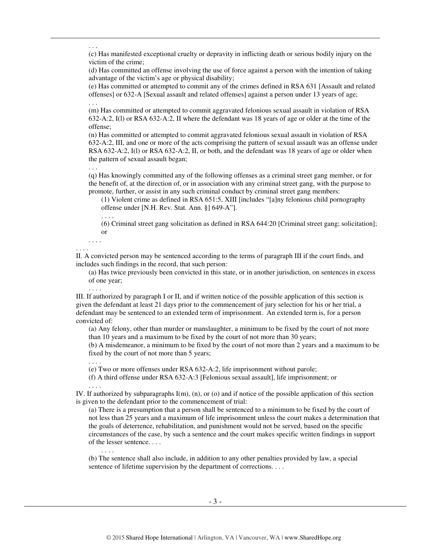(c) Has manifested exceptional cruelty or depravity in inflicting death or serious bodily injury on the victim of the crime;

(d) Has committed an offense involving the use of force against a person with the intention of taking advantage of the victim's age or physical disability;

(e) Has committed or attempted to commit any of the crimes defined in RSA 631 [Assault and related offenses] or 632-A [Sexual assault and related offenses] against a person under 13 years of age; . . .

(m) Has committed or attempted to commit aggravated felonious sexual assault in violation of RSA 632-A:2, I(l) or RSA 632-A:2, II where the defendant was 18 years of age or older at the time of the offense;

(n) Has committed or attempted to commit aggravated felonious sexual assault in violation of RSA 632-A:2, III, and one or more of the acts comprising the pattern of sexual assault was an offense under RSA 632-A:2, I(l) or RSA 632-A:2, II, or both, and the defendant was 18 years of age or older when the pattern of sexual assault began;

(q) Has knowingly committed any of the following offenses as a criminal street gang member, or for the benefit of, at the direction of, or in association with any criminal street gang, with the purpose to promote, further, or assist in any such criminal conduct by criminal street gang members:

(1) Violent crime as defined in RSA 651:5, XIII [includes "[a]ny felonious child pornography offense under [N.H. Rev. Stat. Ann. §] 649-A"].

. . . .

(6) Criminal street gang solicitation as defined in RSA 644:20 [Criminal street gang; solicitation]; or

. . . . . . . .

. . .

 $\overline{a}$ 

. . .

II. A convicted person may be sentenced according to the terms of paragraph III if the court finds, and includes such findings in the record, that such person:

(a) Has twice previously been convicted in this state, or in another jurisdiction, on sentences in excess of one year;

III. If authorized by paragraph I or II, and if written notice of the possible application of this section is given the defendant at least 21 days prior to the commencement of jury selection for his or her trial, a defendant may be sentenced to an extended term of imprisonment. An extended term is, for a person convicted of:

(a) Any felony, other than murder or manslaughter, a minimum to be fixed by the court of not more than 10 years and a maximum to be fixed by the court of not more than 30 years;

(b) A misdemeanor, a minimum to be fixed by the court of not more than 2 years and a maximum to be fixed by the court of not more than 5 years;

. . . .

. . . .

. . . .

(e) Two or more offenses under RSA 632-A:2, life imprisonment without parole;

(f) A third offense under RSA 632-A:3 [Felonious sexual assault], life imprisonment; or

. . . .

IV. If authorized by subparagraphs I(m), (n), or (o) and if notice of the possible application of this section is given to the defendant prior to the commencement of trial:

(a) There is a presumption that a person shall be sentenced to a minimum to be fixed by the court of not less than 25 years and a maximum of life imprisonment unless the court makes a determination that the goals of deterrence, rehabilitation, and punishment would not be served, based on the specific circumstances of the case, by such a sentence and the court makes specific written findings in support of the lesser sentence. . . .

(b) The sentence shall also include, in addition to any other penalties provided by law, a special sentence of lifetime supervision by the department of corrections. . . .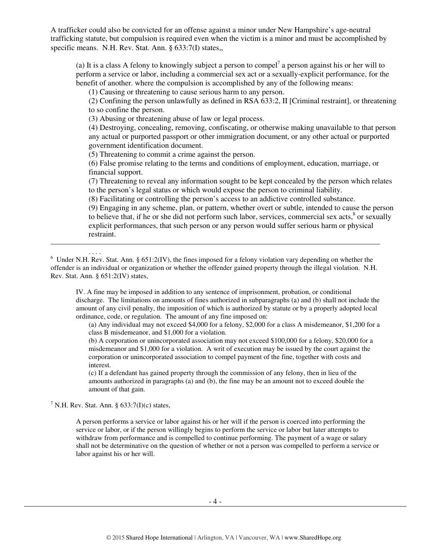A trafficker could also be convicted for an offense against a minor under New Hampshire's age-neutral trafficking statute, but compulsion is required even when the victim is a minor and must be accomplished by specific means. N.H. Rev. Stat. Ann. § 633:7(I) states,

(a) It is a class A felony to knowingly subject a person to compel<sup>7</sup> a person against his or her will to perform a service or labor, including a commercial sex act or a sexually-explicit performance, for the benefit of another. where the compulsion is accomplished by any of the following means:

(1) Causing or threatening to cause serious harm to any person.

(2) Confining the person unlawfully as defined in RSA 633:2, II [Criminal restraint], or threatening to so confine the person.

(3) Abusing or threatening abuse of law or legal process.

(4) Destroying, concealing, removing, confiscating, or otherwise making unavailable to that person any actual or purported passport or other immigration document, or any other actual or purported government identification document.

(5) Threatening to commit a crime against the person.

(6) False promise relating to the terms and conditions of employment, education, marriage, or financial support.

(7) Threatening to reveal any information sought to be kept concealed by the person which relates to the person's legal status or which would expose the person to criminal liability.

(8) Facilitating or controlling the person's access to an addictive controlled substance.

(9) Engaging in any scheme, plan, or pattern, whether overt or subtle, intended to cause the person to believe that, if he or she did not perform such labor, services, commercial sex acts,<sup>8</sup> or sexually explicit performances, that such person or any person would suffer serious harm or physical restraint.

IV. A fine may be imposed in addition to any sentence of imprisonment, probation, or conditional discharge. The limitations on amounts of fines authorized in subparagraphs (a) and (b) shall not include the amount of any civil penalty, the imposition of which is authorized by statute or by a properly adopted local ordinance, code, or regulation. The amount of any fine imposed on:

(a) Any individual may not exceed \$4,000 for a felony, \$2,000 for a class A misdemeanor, \$1,200 for a class B misdemeanor, and \$1,000 for a violation.

(b) A corporation or unincorporated association may not exceed \$100,000 for a felony, \$20,000 for a misdemeanor and \$1,000 for a violation. A writ of execution may be issued by the court against the corporation or unincorporated association to compel payment of the fine, together with costs and interest.

(c) If a defendant has gained property through the commission of any felony, then in lieu of the amounts authorized in paragraphs (a) and (b), the fine may be an amount not to exceed double the amount of that gain.

<sup>7</sup> N.H. Rev. Stat. Ann. § 633:7(I)(c) states,

 $\overline{a}$ 

A person performs a service or labor against his or her will if the person is coerced into performing the service or labor, or if the person willingly begins to perform the service or labor but later attempts to withdraw from performance and is compelled to continue performing. The payment of a wage or salary shall not be determinative on the question of whether or not a person was compelled to perform a service or labor against his or her will.

<sup>. . . .</sup>  6 Under N.H. Rev. Stat. Ann. § 651:2(IV), the fines imposed for a felony violation vary depending on whether the offender is an individual or organization or whether the offender gained property through the illegal violation. N.H. Rev. Stat. Ann. § 651:2(IV) states,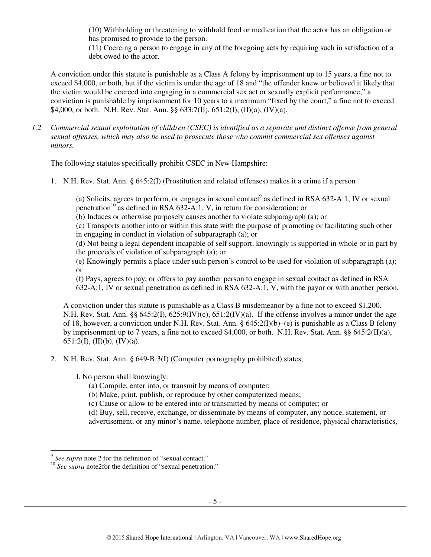(10) Withholding or threatening to withhold food or medication that the actor has an obligation or has promised to provide to the person.

(11) Coercing a person to engage in any of the foregoing acts by requiring such in satisfaction of a debt owed to the actor.

A conviction under this statute is punishable as a Class A felony by imprisonment up to 15 years, a fine not to exceed \$4,000, or both, but if the victim is under the age of 18 and "the offender knew or believed it likely that the victim would be coerced into engaging in a commercial sex act or sexually explicit performance," a conviction is punishable by imprisonment for 10 years to a maximum "fixed by the court," a fine not to exceed \$4,000, or both. N.H. Rev. Stat. Ann. §§ 633:7(II), 651:2(I), (II)(a), (IV)(a).

*1.2 Commercial sexual exploitation of children (CSEC) is identified as a separate and distinct offense from general sexual offenses, which may also be used to prosecute those who commit commercial sex offenses against minors.* 

The following statutes specifically prohibit CSEC in New Hampshire:

1. N.H. Rev. Stat. Ann. § 645:2(I) (Prostitution and related offenses) makes it a crime if a person

(a) Solicits, agrees to perform, or engages in sexual contact<sup>9</sup> as defined in RSA 632-A:1, IV or sexual penetration<sup>10</sup> as defined in RSA 632-A:1, V, in return for consideration; or

(b) Induces or otherwise purposely causes another to violate subparagraph (a); or

(c) Transports another into or within this state with the purpose of promoting or facilitating such other in engaging in conduct in violation of subparagraph (a); or

(d) Not being a legal dependent incapable of self support, knowingly is supported in whole or in part by the proceeds of violation of subparagraph (a); or

(e) Knowingly permits a place under such person's control to be used for violation of subparagraph (a); or

(f) Pays, agrees to pay, or offers to pay another person to engage in sexual contact as defined in RSA 632-A:1, IV or sexual penetration as defined in RSA 632-A:1, V, with the payor or with another person.

A conviction under this statute is punishable as a Class B misdemeanor by a fine not to exceed \$1,200. N.H. Rev. Stat. Ann. §§  $645:2(I)$ ,  $625:9(IV)(c)$ ,  $651:2(IV)(a)$ . If the offense involves a minor under the age of 18, however, a conviction under N.H. Rev. Stat. Ann. § 645:2(I)(b)–(e) is punishable as a Class B felony by imprisonment up to 7 years, a fine not to exceed \$4,000, or both. N.H. Rev. Stat. Ann. §§ 645:2(II)(a),  $651:2(I), (II)(b), (IV)(a).$ 

2. N.H. Rev. Stat. Ann. § 649-B:3(I) (Computer pornography prohibited) states,

I. No person shall knowingly:

(a) Compile, enter into, or transmit by means of computer;

- (b) Make, print, publish, or reproduce by other computerized means;
- (c) Cause or allow to be entered into or transmitted by means of computer; or
- (d) Buy, sell, receive, exchange, or disseminate by means of computer, any notice, statement, or
- advertisement, or any minor's name, telephone number, place of residence, physical characteristics,

<sup>&</sup>lt;sup>9</sup> See supra note 2 for the definition of "sexual contact."

<sup>&</sup>lt;sup>10</sup> *See supra* note2for the definition of "sexual penetration."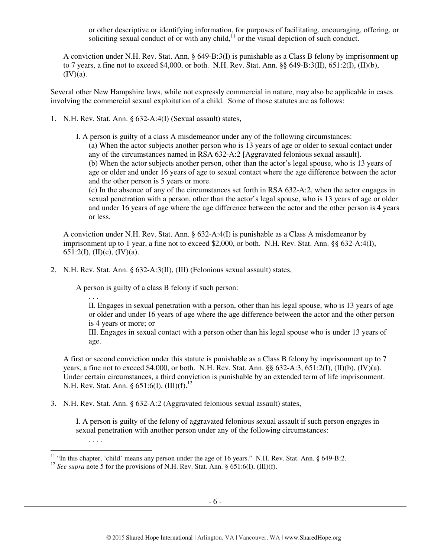or other descriptive or identifying information, for purposes of facilitating, encouraging, offering, or soliciting sexual conduct of or with any child, $<sup>11</sup>$  or the visual depiction of such conduct.</sup>

A conviction under N.H. Rev. Stat. Ann. § 649-B:3(I) is punishable as a Class B felony by imprisonment up to 7 years, a fine not to exceed \$4,000, or both. N.H. Rev. Stat. Ann. §§ 649-B:3(II), 651:2(I), (II)(b),  $(IV)(a)$ .

Several other New Hampshire laws, while not expressly commercial in nature, may also be applicable in cases involving the commercial sexual exploitation of a child. Some of those statutes are as follows:

- 1. N.H. Rev. Stat. Ann. § 632-A:4(I) (Sexual assault) states,
	- I. A person is guilty of a class A misdemeanor under any of the following circumstances: (a) When the actor subjects another person who is 13 years of age or older to sexual contact under any of the circumstances named in RSA 632-A:2 [Aggravated felonious sexual assault]. (b) When the actor subjects another person, other than the actor's legal spouse, who is 13 years of age or older and under 16 years of age to sexual contact where the age difference between the actor and the other person is 5 years or more.

(c) In the absence of any of the circumstances set forth in RSA 632-A:2, when the actor engages in sexual penetration with a person, other than the actor's legal spouse, who is 13 years of age or older and under 16 years of age where the age difference between the actor and the other person is 4 years or less.

A conviction under N.H. Rev. Stat. Ann. § 632-A:4(I) is punishable as a Class A misdemeanor by imprisonment up to 1 year, a fine not to exceed \$2,000, or both. N.H. Rev. Stat. Ann. §§ 632-A:4(I), 651:2(I), (II)(c), (IV)(a).

2. N.H. Rev. Stat. Ann. § 632-A:3(II), (III) (Felonious sexual assault) states,

A person is guilty of a class B felony if such person:

. . .

II. Engages in sexual penetration with a person, other than his legal spouse, who is 13 years of age or older and under 16 years of age where the age difference between the actor and the other person is 4 years or more; or

III. Engages in sexual contact with a person other than his legal spouse who is under 13 years of age.

A first or second conviction under this statute is punishable as a Class B felony by imprisonment up to 7 years, a fine not to exceed \$4,000, or both. N.H. Rev. Stat. Ann. §§ 632-A:3, 651:2(I), (II)(b), (IV)(a). Under certain circumstances, a third conviction is punishable by an extended term of life imprisonment. N.H. Rev. Stat. Ann. § 651:6(I),  $(III)(f).^{12}$ 

3. N.H. Rev. Stat. Ann. § 632-A:2 (Aggravated felonious sexual assault) states,

I. A person is guilty of the felony of aggravated felonious sexual assault if such person engages in sexual penetration with another person under any of the following circumstances:

. . . .

 $\overline{a}$ <sup>11</sup> "In this chapter, 'child' means any person under the age of 16 years." N.H. Rev. Stat. Ann.  $\S$  649-B:2.

<sup>&</sup>lt;sup>12</sup> *See supra* note 5 for the provisions of N.H. Rev. Stat. Ann. § 651:6(I), (III)(f).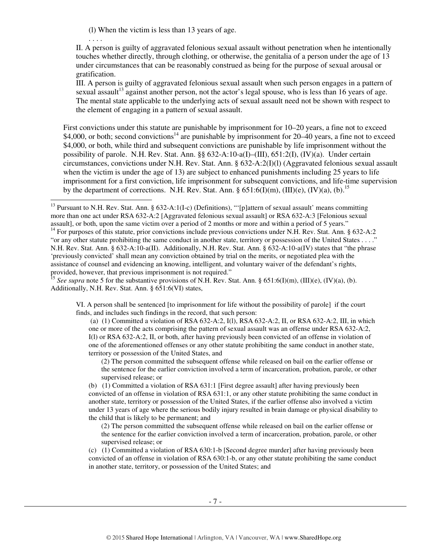(l) When the victim is less than 13 years of age.

. . . .

II. A person is guilty of aggravated felonious sexual assault without penetration when he intentionally touches whether directly, through clothing, or otherwise, the genitalia of a person under the age of 13 under circumstances that can be reasonably construed as being for the purpose of sexual arousal or gratification.

III. A person is guilty of aggravated felonious sexual assault when such person engages in a pattern of sexual assault<sup>13</sup> against another person, not the actor's legal spouse, who is less than 16 years of age. The mental state applicable to the underlying acts of sexual assault need not be shown with respect to the element of engaging in a pattern of sexual assault.

First convictions under this statute are punishable by imprisonment for 10–20 years, a fine not to exceed \$4,000, or both; second convictions<sup>14</sup> are punishable by imprisonment for 20–40 years, a fine not to exceed \$4,000, or both, while third and subsequent convictions are punishable by life imprisonment without the possibility of parole. N.H. Rev. Stat. Ann. §§ 632-A:10-a(I)–(III), 651:2(I), (IV)(a). Under certain circumstances, convictions under N.H. Rev. Stat. Ann. § 632-A:2(I)(l) (Aggravated felonious sexual assault when the victim is under the age of 13) are subject to enhanced punishments including 25 years to life imprisonment for a first conviction, life imprisonment for subsequent convictions, and life-time supervision by the department of corrections. N.H. Rev. Stat. Ann. §  $651:6(I)(m)$ ,  $(III)(e)$ ,  $(IV)(a)$ ,  $(b)$ .<sup>15</sup>

VI. A person shall be sentenced [to imprisonment for life without the possibility of parole] if the court finds, and includes such findings in the record, that such person:

 (a) (1) Committed a violation of RSA 632-A:2, I(l), RSA 632-A:2, II, or RSA 632-A:2, III, in which one or more of the acts comprising the pattern of sexual assault was an offense under RSA 632-A:2, I(l) or RSA 632-A:2, II, or both, after having previously been convicted of an offense in violation of one of the aforementioned offenses or any other statute prohibiting the same conduct in another state, territory or possession of the United States, and

(2) The person committed the subsequent offense while released on bail on the earlier offense or the sentence for the earlier conviction involved a term of incarceration, probation, parole, or other supervised release; or

(b) (1) Committed a violation of RSA 631:1 [First degree assault] after having previously been convicted of an offense in violation of RSA 631:1, or any other statute prohibiting the same conduct in another state, territory or possession of the United States, if the earlier offense also involved a victim under 13 years of age where the serious bodily injury resulted in brain damage or physical disability to the child that is likely to be permanent; and

(2) The person committed the subsequent offense while released on bail on the earlier offense or the sentence for the earlier conviction involved a term of incarceration, probation, parole, or other supervised release; or

(c) (1) Committed a violation of RSA 630:1-b [Second degree murder] after having previously been convicted of an offense in violation of RSA 630:1-b, or any other statute prohibiting the same conduct in another state, territory, or possession of the United States; and

 $\overline{a}$ <sup>13</sup> Pursuant to N.H. Rev. Stat. Ann. § 632-A:1(I-c) (Definitions), "'[p]attern of sexual assault' means committing more than one act under RSA 632-A:2 [Aggravated felonious sexual assault] or RSA 632-A:3 [Felonious sexual assault], or both, upon the same victim over a period of 2 months or more and within a period of 5 years." <sup>14</sup> For purposes of this statute, prior convictions include previous convictions under N.H. Rev. Stat. Ann. § 632-A:2 "or any other statute prohibiting the same conduct in another state, territory or possession of the United States . . . ." N.H. Rev. Stat. Ann. § 632-A:10-a(II). Additionally, N.H. Rev. Stat. Ann. § 632-A:10-a(IV) states that "the phrase

<sup>&#</sup>x27;previously convicted' shall mean any conviction obtained by trial on the merits, or negotiated plea with the assistance of counsel and evidencing an knowing, intelligent, and voluntary waiver of the defendant's rights, provided, however, that previous imprisonment is not required."

<sup>&</sup>lt;sup>15</sup> *See supra* note 5 for the substantive provisions of N.H. Rev. Stat. Ann. § 651:6(I)(m), (III)(e), (IV)(a), (b). Additionally, N.H. Rev. Stat. Ann. § 651:6(VI) states,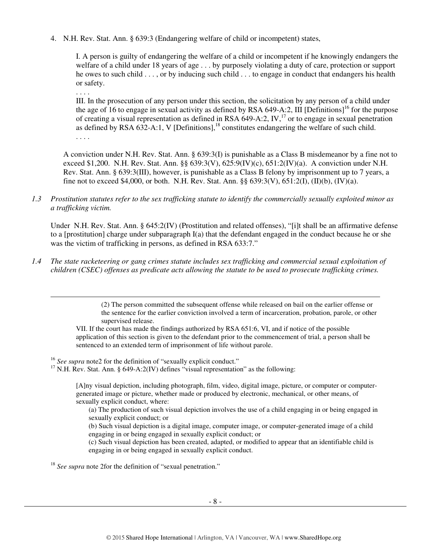4. N.H. Rev. Stat. Ann. § 639:3 (Endangering welfare of child or incompetent) states,

I. A person is guilty of endangering the welfare of a child or incompetent if he knowingly endangers the welfare of a child under 18 years of age . . . by purposely violating a duty of care, protection or support he owes to such child . . . , or by inducing such child . . . to engage in conduct that endangers his health or safety.

. . . .

. . . .

 $\overline{a}$ 

III. In the prosecution of any person under this section, the solicitation by any person of a child under the age of 16 to engage in sexual activity as defined by RSA 649-A:2. III [Definitions]<sup>16</sup> for the purpose of creating a visual representation as defined in RSA 649-A:2, IV,<sup>17</sup> or to engage in sexual penetration as defined by RSA  $632-A:1$ , V [Definitions],<sup>18</sup> constitutes endangering the welfare of such child.

A conviction under N.H. Rev. Stat. Ann. § 639:3(I) is punishable as a Class B misdemeanor by a fine not to exceed \$1,200. N.H. Rev. Stat. Ann. §§ 639:3(V), 625:9(IV)(c), 651:2(IV)(a). A conviction under N.H. Rev. Stat. Ann. § 639:3(III), however, is punishable as a Class B felony by imprisonment up to 7 years, a fine not to exceed \$4,000, or both. N.H. Rev. Stat. Ann. §§ 639:3(V), 651:2(I), (II)(b), (IV)(a).

*1.3 Prostitution statutes refer to the sex trafficking statute to identify the commercially sexually exploited minor as a trafficking victim.* 

Under N.H. Rev. Stat. Ann. § 645:2(IV) (Prostitution and related offenses), "[i]t shall be an affirmative defense to a [prostitution] charge under subparagraph I(a) that the defendant engaged in the conduct because he or she was the victim of trafficking in persons, as defined in RSA 633:7."

*1.4 The state racketeering or gang crimes statute includes sex trafficking and commercial sexual exploitation of children (CSEC) offenses as predicate acts allowing the statute to be used to prosecute trafficking crimes.* 

> (2) The person committed the subsequent offense while released on bail on the earlier offense or the sentence for the earlier conviction involved a term of incarceration, probation, parole, or other supervised release.

VII. If the court has made the findings authorized by RSA 651:6, VI, and if notice of the possible application of this section is given to the defendant prior to the commencement of trial, a person shall be sentenced to an extended term of imprisonment of life without parole.

<sup>16</sup> *See supra* note2 for the definition of "sexually explicit conduct."

 $17$  N.H. Rev. Stat. Ann. § 649-A:2(IV) defines "visual representation" as the following:

[A]ny visual depiction, including photograph, film, video, digital image, picture, or computer or computergenerated image or picture, whether made or produced by electronic, mechanical, or other means, of sexually explicit conduct, where:

(a) The production of such visual depiction involves the use of a child engaging in or being engaged in sexually explicit conduct; or

(b) Such visual depiction is a digital image, computer image, or computer-generated image of a child engaging in or being engaged in sexually explicit conduct; or

(c) Such visual depiction has been created, adapted, or modified to appear that an identifiable child is engaging in or being engaged in sexually explicit conduct.

<sup>18</sup> *See supra* note 2for the definition of "sexual penetration."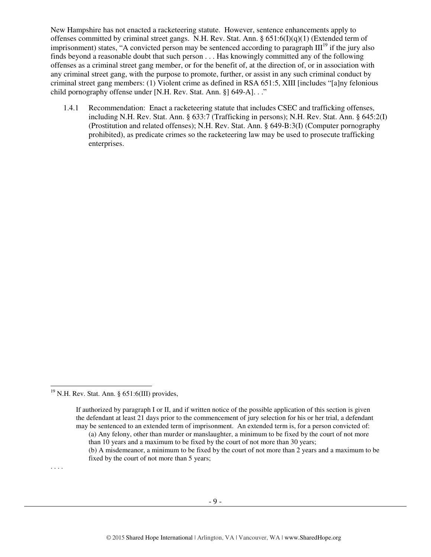New Hampshire has not enacted a racketeering statute. However, sentence enhancements apply to offenses committed by criminal street gangs. N.H. Rev. Stat. Ann. §  $651:6(I)(q)(1)$  (Extended term of imprisonment) states, "A convicted person may be sentenced according to paragraph  $III<sup>19</sup>$  if the jury also finds beyond a reasonable doubt that such person . . . Has knowingly committed any of the following offenses as a criminal street gang member, or for the benefit of, at the direction of, or in association with any criminal street gang, with the purpose to promote, further, or assist in any such criminal conduct by criminal street gang members: (1) Violent crime as defined in RSA 651:5, XIII [includes "[a]ny felonious child pornography offense under [N.H. Rev. Stat. Ann. §] 649-A]. . ."

1.4.1 Recommendation: Enact a racketeering statute that includes CSEC and trafficking offenses, including N.H. Rev. Stat. Ann. § 633:7 (Trafficking in persons); N.H. Rev. Stat. Ann. § 645:2(I) (Prostitution and related offenses); N.H. Rev. Stat. Ann. § 649-B:3(I) (Computer pornography prohibited), as predicate crimes so the racketeering law may be used to prosecute trafficking enterprises.

. . . .

 $\overline{a}$ 

 $19$  N.H. Rev. Stat. Ann. § 651:6(III) provides,

If authorized by paragraph I or II, and if written notice of the possible application of this section is given the defendant at least 21 days prior to the commencement of jury selection for his or her trial, a defendant may be sentenced to an extended term of imprisonment. An extended term is, for a person convicted of:

<sup>(</sup>a) Any felony, other than murder or manslaughter, a minimum to be fixed by the court of not more than 10 years and a maximum to be fixed by the court of not more than 30 years;

<sup>(</sup>b) A misdemeanor, a minimum to be fixed by the court of not more than 2 years and a maximum to be fixed by the court of not more than 5 years;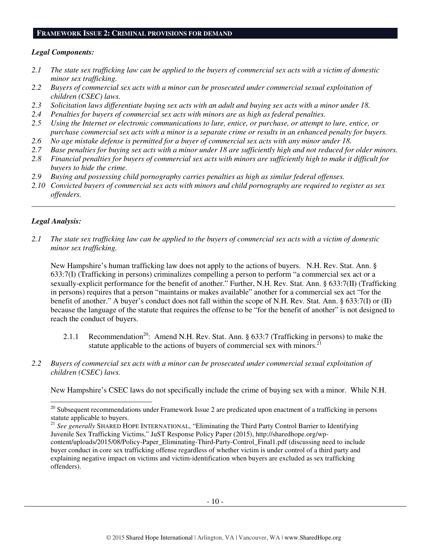#### **FRAMEWORK ISSUE 2: CRIMINAL PROVISIONS FOR DEMAND**

#### *Legal Components:*

- *2.1 The state sex trafficking law can be applied to the buyers of commercial sex acts with a victim of domestic minor sex trafficking.*
- *2.2 Buyers of commercial sex acts with a minor can be prosecuted under commercial sexual exploitation of children (CSEC) laws.*
- *2.3 Solicitation laws differentiate buying sex acts with an adult and buying sex acts with a minor under 18.*
- *2.4 Penalties for buyers of commercial sex acts with minors are as high as federal penalties.*
- *2.5 Using the Internet or electronic communications to lure, entice, or purchase, or attempt to lure, entice, or purchase commercial sex acts with a minor is a separate crime or results in an enhanced penalty for buyers.*
- *2.6 No age mistake defense is permitted for a buyer of commercial sex acts with any minor under 18.*
- *2.7 Base penalties for buying sex acts with a minor under 18 are sufficiently high and not reduced for older minors.*
- *2.8 Financial penalties for buyers of commercial sex acts with minors are sufficiently high to make it difficult for buyers to hide the crime.*
- *2.9 Buying and possessing child pornography carries penalties as high as similar federal offenses.*
- *2.10 Convicted buyers of commercial sex acts with minors and child pornography are required to register as sex offenders.*

\_\_\_\_\_\_\_\_\_\_\_\_\_\_\_\_\_\_\_\_\_\_\_\_\_\_\_\_\_\_\_\_\_\_\_\_\_\_\_\_\_\_\_\_\_\_\_\_\_\_\_\_\_\_\_\_\_\_\_\_\_\_\_\_\_\_\_\_\_\_\_\_\_\_\_\_\_\_\_\_\_\_\_\_\_\_\_\_\_\_\_\_\_\_

#### *Legal Analysis:*

 $\overline{a}$ 

*2.1 The state sex trafficking law can be applied to the buyers of commercial sex acts with a victim of domestic minor sex trafficking.* 

New Hampshire's human trafficking law does not apply to the actions of buyers. N.H. Rev. Stat. Ann. § 633:7(I) (Trafficking in persons) criminalizes compelling a person to perform "a commercial sex act or a sexually-explicit performance for the benefit of another." Further, N.H. Rev. Stat. Ann. § 633:7(II) (Trafficking in persons) requires that a person "maintains or makes available" another for a commercial sex act "for the benefit of another." A buyer's conduct does not fall within the scope of N.H. Rev. Stat. Ann. § 633:7(I) or (II) because the language of the statute that requires the offense to be "for the benefit of another" is not designed to reach the conduct of buyers.

- 2.1.1 Recommendation<sup>20</sup>: Amend N.H. Rev. Stat. Ann. § 633:7 (Trafficking in persons) to make the statute applicable to the actions of buyers of commercial sex with minors.<sup>2</sup>
- *2.2 Buyers of commercial sex acts with a minor can be prosecuted under commercial sexual exploitation of children (CSEC) laws.*

New Hampshire's CSEC laws do not specifically include the crime of buying sex with a minor. While N.H.

 $20$  Subsequent recommendations under Framework Issue 2 are predicated upon enactment of a trafficking in persons statute applicable to buyers.

<sup>&</sup>lt;sup>21</sup> See generally SHARED HOPE INTERNATIONAL, "Eliminating the Third Party Control Barrier to Identifying Juvenile Sex Trafficking Victims," JuST Response Policy Paper (2015), http://sharedhope.org/wpcontent/uploads/2015/08/Policy-Paper\_Eliminating-Third-Party-Control\_Final1.pdf (discussing need to include buyer conduct in core sex trafficking offense regardless of whether victim is under control of a third party and explaining negative impact on victims and victim-identification when buyers are excluded as sex trafficking offenders).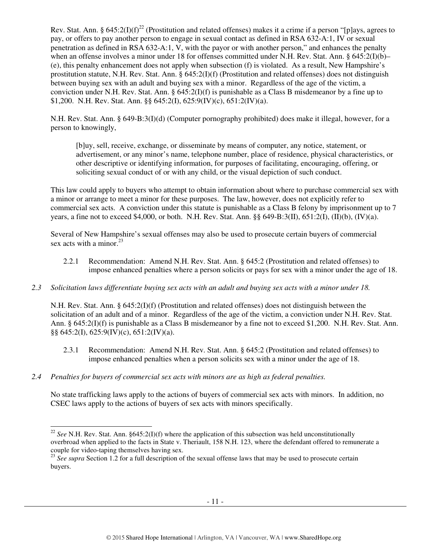Rev. Stat. Ann. § 645:2(I)(f)<sup>22</sup> (Prostitution and related offenses) makes it a crime if a person "[p]ays, agrees to pay, or offers to pay another person to engage in sexual contact as defined in RSA 632-A:1, IV or sexual penetration as defined in RSA 632-A:1, V, with the payor or with another person," and enhances the penalty when an offense involves a minor under 18 for offenses committed under N.H. Rev. Stat. Ann. § 645:2(I)(b)– (e), this penalty enhancement does not apply when subsection (f) is violated. As a result, New Hampshire's prostitution statute, N.H. Rev. Stat. Ann. § 645:2(I)(f) (Prostitution and related offenses) does not distinguish between buying sex with an adult and buying sex with a minor. Regardless of the age of the victim, a conviction under N.H. Rev. Stat. Ann. § 645:2(I)(f) is punishable as a Class B misdemeanor by a fine up to \$1,200. N.H. Rev. Stat. Ann. §§ 645:2(I), 625:9(IV)(c), 651:2(IV)(a).

N.H. Rev. Stat. Ann. § 649-B:3(I)(d) (Computer pornography prohibited) does make it illegal, however, for a person to knowingly,

[b]uy, sell, receive, exchange, or disseminate by means of computer, any notice, statement, or advertisement, or any minor's name, telephone number, place of residence, physical characteristics, or other descriptive or identifying information, for purposes of facilitating, encouraging, offering, or soliciting sexual conduct of or with any child, or the visual depiction of such conduct.

This law could apply to buyers who attempt to obtain information about where to purchase commercial sex with a minor or arrange to meet a minor for these purposes. The law, however, does not explicitly refer to commercial sex acts. A conviction under this statute is punishable as a Class B felony by imprisonment up to 7 years, a fine not to exceed \$4,000, or both. N.H. Rev. Stat. Ann. §§ 649-B:3(II), 651:2(I), (II)(b), (IV)(a).

Several of New Hampshire's sexual offenses may also be used to prosecute certain buyers of commercial sex acts with a minor. $23$ 

- 2.2.1 Recommendation: Amend N.H. Rev. Stat. Ann. § 645:2 (Prostitution and related offenses) to impose enhanced penalties where a person solicits or pays for sex with a minor under the age of 18.
- *2.3 Solicitation laws differentiate buying sex acts with an adult and buying sex acts with a minor under 18.*

N.H. Rev. Stat. Ann. § 645:2(I)(f) (Prostitution and related offenses) does not distinguish between the solicitation of an adult and of a minor. Regardless of the age of the victim, a conviction under N.H. Rev. Stat. Ann. § 645:2(I)(f) is punishable as a Class B misdemeanor by a fine not to exceed \$1,200. N.H. Rev. Stat. Ann. §§ 645:2(I), 625:9(IV)(c), 651:2(IV)(a).

- 2.3.1 Recommendation: Amend N.H. Rev. Stat. Ann. § 645:2 (Prostitution and related offenses) to impose enhanced penalties when a person solicits sex with a minor under the age of 18.
- *2.4 Penalties for buyers of commercial sex acts with minors are as high as federal penalties.*

No state trafficking laws apply to the actions of buyers of commercial sex acts with minors. In addition, no CSEC laws apply to the actions of buyers of sex acts with minors specifically.

 $\overline{a}$  $22$  *See* N.H. Rev. Stat. Ann. §645:2(I)(f) where the application of this subsection was held unconstitutionally overbroad when applied to the facts in State v. Theriault, 158 N.H. 123, where the defendant offered to remunerate a couple for video-taping themselves having sex.

<sup>&</sup>lt;sup>23</sup> See supra Section 1.2 for a full description of the sexual offense laws that may be used to prosecute certain buyers.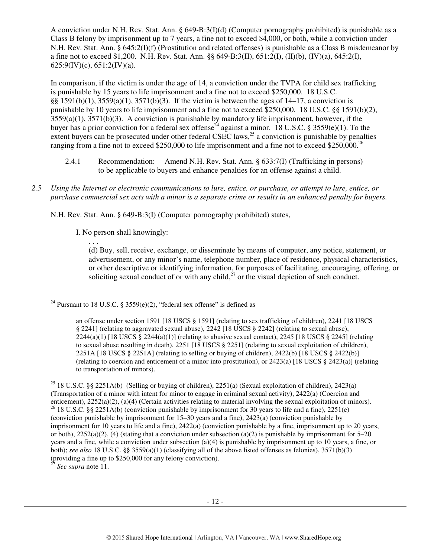A conviction under N.H. Rev. Stat. Ann. § 649-B:3(I)(d) (Computer pornography prohibited) is punishable as a Class B felony by imprisonment up to 7 years, a fine not to exceed \$4,000, or both, while a conviction under N.H. Rev. Stat. Ann. § 645:2(I)(f) (Prostitution and related offenses) is punishable as a Class B misdemeanor by a fine not to exceed \$1,200. N.H. Rev. Stat. Ann. §§ 649-B:3(II), 651:2(I), (II)(b), (IV)(a), 645:2(I),  $625:9$ (IV)(c),  $651:2$ (IV)(a).

In comparison, if the victim is under the age of 14, a conviction under the TVPA for child sex trafficking is punishable by 15 years to life imprisonment and a fine not to exceed \$250,000. 18 U.S.C. §§ 1591(b)(1), 3559(a)(1), 3571(b)(3). If the victim is between the ages of 14–17, a conviction is punishable by 10 years to life imprisonment and a fine not to exceed \$250,000. 18 U.S.C. §§ 1591(b)(2),  $3559(a)(1)$ ,  $3571(b)(3)$ . A conviction is punishable by mandatory life imprisonment, however, if the buyer has a prior conviction for a federal sex offense<sup>24</sup> against a minor. 18 U.S.C. § 3559(e)(1). To the extent buyers can be prosecuted under other federal CSEC laws,<sup>25</sup> a conviction is punishable by penalties ranging from a fine not to exceed \$250,000 to life imprisonment and a fine not to exceed \$250,000.<sup>26</sup>

- 2.4.1 Recommendation: Amend N.H. Rev. Stat. Ann. § 633:7(I) (Trafficking in persons) to be applicable to buyers and enhance penalties for an offense against a child.
- *2.5 Using the Internet or electronic communications to lure, entice, or purchase, or attempt to lure, entice, or purchase commercial sex acts with a minor is a separate crime or results in an enhanced penalty for buyers.*

N.H. Rev. Stat. Ann. § 649-B:3(I) (Computer pornography prohibited) states,

I. No person shall knowingly:

. . .

(d) Buy, sell, receive, exchange, or disseminate by means of computer, any notice, statement, or advertisement, or any minor's name, telephone number, place of residence, physical characteristics, or other descriptive or identifying information, for purposes of facilitating, encouraging, offering, or soliciting sexual conduct of or with any child,<sup>27</sup> or the visual depiction of such conduct.

<sup>27</sup> *See supra* note 11.

 $\overline{a}$ <sup>24</sup> Pursuant to 18 U.S.C. § 3559 $(e)(2)$ , "federal sex offense" is defined as

an offense under section 1591 [18 USCS § 1591] (relating to sex trafficking of children), 2241 [18 USCS § 2241] (relating to aggravated sexual abuse), 2242 [18 USCS § 2242] (relating to sexual abuse), 2244(a)(1) [18 USCS § 2244(a)(1)] (relating to abusive sexual contact), 2245 [18 USCS § 2245] (relating to sexual abuse resulting in death), 2251 [18 USCS § 2251] (relating to sexual exploitation of children), 2251A [18 USCS § 2251A] (relating to selling or buying of children), 2422(b) [18 USCS § 2422(b)] (relating to coercion and enticement of a minor into prostitution), or 2423(a) [18 USCS § 2423(a)] (relating to transportation of minors).

<sup>&</sup>lt;sup>25</sup> 18 U.S.C. §§ 2251A(b) (Selling or buying of children), 2251(a) (Sexual exploitation of children), 2423(a) (Transportation of a minor with intent for minor to engage in criminal sexual activity), 2422(a) (Coercion and enticement), 2252(a)(2), (a)(4) (Certain activities relating to material involving the sexual exploitation of minors). <sup>26</sup> 18 U.S.C. §§ 2251A(b) (conviction punishable by imprisonment for 30 years to life and a fine), 2251(e) (conviction punishable by imprisonment for 15–30 years and a fine), 2423(a) (conviction punishable by imprisonment for 10 years to life and a fine), 2422(a) (conviction punishable by a fine, imprisonment up to 20 years, or both),  $2252(a)(2)$ , (4) (stating that a conviction under subsection (a)(2) is punishable by imprisonment for 5–20 years and a fine, while a conviction under subsection (a)(4) is punishable by imprisonment up to 10 years, a fine, or both); *see also* 18 U.S.C. §§ 3559(a)(1) (classifying all of the above listed offenses as felonies), 3571(b)(3) (providing a fine up to \$250,000 for any felony conviction).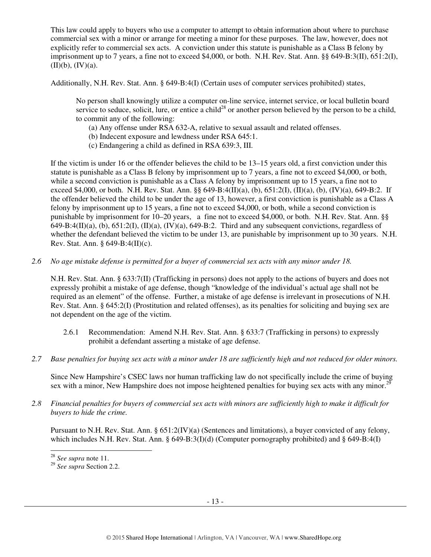This law could apply to buyers who use a computer to attempt to obtain information about where to purchase commercial sex with a minor or arrange for meeting a minor for these purposes. The law, however, does not explicitly refer to commercial sex acts. A conviction under this statute is punishable as a Class B felony by imprisonment up to 7 years, a fine not to exceed \$4,000, or both. N.H. Rev. Stat. Ann. §§ 649-B:3(II), 651:2(I),  $(II)(b)$ ,  $(IV)(a)$ .

Additionally, N.H. Rev. Stat. Ann. § 649-B:4(I) (Certain uses of computer services prohibited) states,

No person shall knowingly utilize a computer on-line service, internet service, or local bulletin board service to seduce, solicit, lure, or entice a child<sup>28</sup> or another person believed by the person to be a child, to commit any of the following:

- (a) Any offense under RSA 632-A, relative to sexual assault and related offenses.
- (b) Indecent exposure and lewdness under RSA 645:1.
- (c) Endangering a child as defined in RSA 639:3, III.

If the victim is under 16 or the offender believes the child to be 13–15 years old, a first conviction under this statute is punishable as a Class B felony by imprisonment up to 7 years, a fine not to exceed \$4,000, or both, while a second conviction is punishable as a Class A felony by imprisonment up to 15 years, a fine not to exceed \$4,000, or both. N.H. Rev. Stat. Ann. §§ 649-B:4(II)(a), (b), 651:2(I), (II)(a), (b), (IV)(a), 649-B:2. If the offender believed the child to be under the age of 13, however, a first conviction is punishable as a Class A felony by imprisonment up to 15 years, a fine not to exceed \$4,000, or both, while a second conviction is punishable by imprisonment for 10–20 years, a fine not to exceed \$4,000, or both. N.H. Rev. Stat. Ann. §§  $649-B:4(II)(a)$ , (b),  $651:2(I)$ ,  $(II)(a)$ ,  $(IV)(a)$ ,  $649-B:2$ . Third and any subsequent convictions, regardless of whether the defendant believed the victim to be under 13, are punishable by imprisonment up to 30 years. N.H. Rev. Stat. Ann. § 649-B:4(II)(c).

*2.6 No age mistake defense is permitted for a buyer of commercial sex acts with any minor under 18.* 

N.H. Rev. Stat. Ann. § 633:7(II) (Trafficking in persons) does not apply to the actions of buyers and does not expressly prohibit a mistake of age defense, though "knowledge of the individual's actual age shall not be required as an element" of the offense. Further, a mistake of age defense is irrelevant in prosecutions of N.H. Rev. Stat. Ann. § 645:2(I) (Prostitution and related offenses), as its penalties for soliciting and buying sex are not dependent on the age of the victim.

- 2.6.1 Recommendation: Amend N.H. Rev. Stat. Ann. § 633:7 (Trafficking in persons) to expressly prohibit a defendant asserting a mistake of age defense.
- *2.7 Base penalties for buying sex acts with a minor under 18 are sufficiently high and not reduced for older minors.*

Since New Hampshire's CSEC laws nor human trafficking law do not specifically include the crime of buying sex with a minor, New Hampshire does not impose heightened penalties for buying sex acts with any minor.<sup>29</sup>

*2.8 Financial penalties for buyers of commercial sex acts with minors are sufficiently high to make it difficult for buyers to hide the crime.* 

Pursuant to N.H. Rev. Stat. Ann. § 651:2(IV)(a) (Sentences and limitations), a buyer convicted of any felony, which includes N.H. Rev. Stat. Ann. § 649-B:3(I)(d) (Computer pornography prohibited) and § 649-B:4(I)

 $\overline{a}$ 

<sup>28</sup> *See supra* note 11.

<sup>29</sup> *See supra* Section 2.2.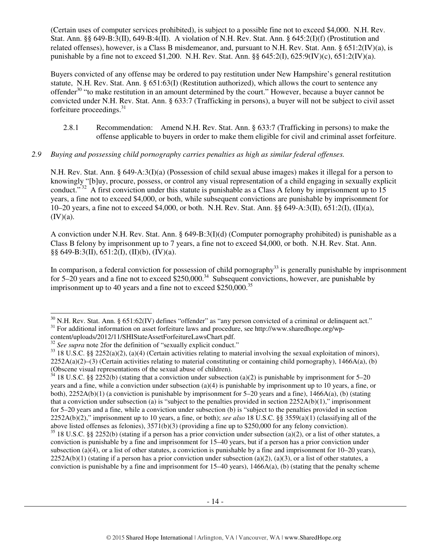(Certain uses of computer services prohibited), is subject to a possible fine not to exceed \$4,000. N.H. Rev. Stat. Ann. §§ 649-B:3(II), 649-B:4(II). A violation of N.H. Rev. Stat. Ann. § 645:2(I)(f) (Prostitution and related offenses), however, is a Class B misdemeanor, and, pursuant to N.H. Rev. Stat. Ann. § 651:2(IV)(a), is punishable by a fine not to exceed \$1,200. N.H. Rev. Stat. Ann.  $\S § 645:2(I)$ ,  $625:9(IV)(c)$ ,  $651:2(IV)(a)$ .

Buyers convicted of any offense may be ordered to pay restitution under New Hampshire's general restitution statute, N.H. Rev. Stat. Ann. § 651:63(I) (Restitution authorized), which allows the court to sentence any offender<sup>30</sup> "to make restitution in an amount determined by the court." However, because a buyer cannot be convicted under N.H. Rev. Stat. Ann. § 633:7 (Trafficking in persons), a buyer will not be subject to civil asset forfeiture proceedings.<sup>31</sup>

2.8.1 Recommendation: Amend N.H. Rev. Stat. Ann. § 633:7 (Trafficking in persons) to make the offense applicable to buyers in order to make them eligible for civil and criminal asset forfeiture.

## *2.9 Buying and possessing child pornography carries penalties as high as similar federal offenses.*

N.H. Rev. Stat. Ann. § 649-A:3(I)(a) (Possession of child sexual abuse images) makes it illegal for a person to knowingly "[b]uy, procure, possess, or control any visual representation of a child engaging in sexually explicit conduct." $32$  A first conviction under this statute is punishable as a Class A felony by imprisonment up to 15 years, a fine not to exceed \$4,000, or both, while subsequent convictions are punishable by imprisonment for 10–20 years, a fine not to exceed \$4,000, or both. N.H. Rev. Stat. Ann. §§ 649-A:3(II), 651:2(I), (II)(a),  $(IV)(a)$ .

A conviction under N.H. Rev. Stat. Ann. § 649-B:3(I)(d) (Computer pornography prohibited) is punishable as a Class B felony by imprisonment up to 7 years, a fine not to exceed \$4,000, or both. N.H. Rev. Stat. Ann.  $\S\S 649-B:3(II), 651:2(I), (II)(b), (IV)(a).$ 

In comparison, a federal conviction for possession of child pornography<sup>33</sup> is generally punishable by imprisonment for 5–20 years and a fine not to exceed  $$250,000.<sup>34</sup>$  Subsequent convictions, however, are punishable by imprisonment up to 40 years and a fine not to exceed  $$250,000.<sup>35</sup>$ 

 $\overline{a}$  $30$  N.H. Rev. Stat. Ann. § 651:62(IV) defines "offender" as "any person convicted of a criminal or delinquent act." <sup>31</sup> For additional information on asset forfeiture laws and procedure, see http://www.sharedhope.org/wp-

content/uploads/2012/11/SHIStateAssetForfeitureLawsChart.pdf.

<sup>&</sup>lt;sup>32</sup> See supra note 2for the definition of "sexually explicit conduct."

 $33$  18 U.S.C. §§ 2252(a)(2), (a)(4) (Certain activities relating to material involving the sexual exploitation of minors),  $2252A(a)(2)$ –(3) (Certain activities relating to material constituting or containing child pornography), 1466A(a), (b) (Obscene visual representations of the sexual abuse of children).

 $34$  18 U.S.C. §§ 2252(b) (stating that a conviction under subsection (a)(2) is punishable by imprisonment for 5–20 years and a fine, while a conviction under subsection (a)(4) is punishable by imprisonment up to 10 years, a fine, or both), 2252A(b)(1) (a conviction is punishable by imprisonment for 5–20 years and a fine), 1466A(a), (b) (stating that a conviction under subsection (a) is "subject to the penalties provided in section  $2252A(b)(1)$ ," imprisonment for 5–20 years and a fine, while a conviction under subsection (b) is "subject to the penalties provided in section 2252A(b)(2)," imprisonment up to 10 years, a fine, or both); *see also* 18 U.S.C. §§ 3559(a)(1) (classifying all of the above listed offenses as felonies), 3571(b)(3) (providing a fine up to \$250,000 for any felony conviction).

 $35$  18 U.S.C. §§ 2252(b) (stating if a person has a prior conviction under subsection (a)(2), or a list of other statutes, a conviction is punishable by a fine and imprisonment for 15–40 years, but if a person has a prior conviction under subsection (a)(4), or a list of other statutes, a conviction is punishable by a fine and imprisonment for  $10-20$  years),  $2252A(b)(1)$  (stating if a person has a prior conviction under subsection (a)(2), (a)(3), or a list of other statutes, a conviction is punishable by a fine and imprisonment for  $15-40$  years),  $1466A(a)$ , (b) (stating that the penalty scheme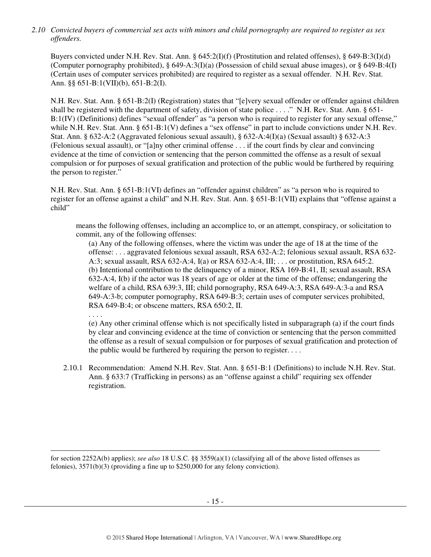*2.10 Convicted buyers of commercial sex acts with minors and child pornography are required to register as sex offenders.* 

Buyers convicted under N.H. Rev. Stat. Ann. § 645:2(I)(f) (Prostitution and related offenses), § 649-B:3(I)(d) (Computer pornography prohibited), § 649-A:3(I)(a) (Possession of child sexual abuse images), or § 649-B:4(I) (Certain uses of computer services prohibited) are required to register as a sexual offender. N.H. Rev. Stat. Ann. §§ 651-B:1(VII)(b), 651-B:2(I).

N.H. Rev. Stat. Ann. § 651-B:2(I) (Registration) states that "[e]very sexual offender or offender against children shall be registered with the department of safety, division of state police . . . ." N.H. Rev. Stat. Ann. § 651- B:1(IV) (Definitions) defines "sexual offender" as "a person who is required to register for any sexual offense," while N.H. Rev. Stat. Ann. § 651-B:1(V) defines a "sex offense" in part to include convictions under N.H. Rev. Stat. Ann. § 632-A:2 (Aggravated felonious sexual assault), § 632-A:4(I)(a) (Sexual assault) § 632-A:3 (Felonious sexual assault), or "[a]ny other criminal offense . . . if the court finds by clear and convincing evidence at the time of conviction or sentencing that the person committed the offense as a result of sexual compulsion or for purposes of sexual gratification and protection of the public would be furthered by requiring the person to register."

N.H. Rev. Stat. Ann. § 651-B:1(VI) defines an "offender against children" as "a person who is required to register for an offense against a child" and N.H. Rev. Stat. Ann. § 651-B:1(VII) explains that "offense against a child"

means the following offenses, including an accomplice to, or an attempt, conspiracy, or solicitation to commit, any of the following offenses:

(a) Any of the following offenses, where the victim was under the age of 18 at the time of the offense: . . . aggravated felonious sexual assault, RSA 632-A:2; felonious sexual assault, RSA 632- A:3; sexual assault, RSA 632-A:4, I(a) or RSA 632-A:4, III; . . . or prostitution, RSA 645:2. (b) Intentional contribution to the delinquency of a minor, RSA 169-B:41, II; sexual assault, RSA 632-A:4, I(b) if the actor was 18 years of age or older at the time of the offense; endangering the welfare of a child, RSA 639:3, III; child pornography, RSA 649-A:3, RSA 649-A:3-a and RSA 649-A:3-b; computer pornography, RSA 649-B:3; certain uses of computer services prohibited, RSA 649-B:4; or obscene matters, RSA 650:2, II.

. . . .

 $\overline{a}$ 

(e) Any other criminal offense which is not specifically listed in subparagraph (a) if the court finds by clear and convincing evidence at the time of conviction or sentencing that the person committed the offense as a result of sexual compulsion or for purposes of sexual gratification and protection of the public would be furthered by requiring the person to register. . . .

2.10.1 Recommendation: Amend N.H. Rev. Stat. Ann. § 651-B:1 (Definitions) to include N.H. Rev. Stat. Ann. § 633:7 (Trafficking in persons) as an "offense against a child" requiring sex offender registration.

for section 2252A(b) applies); *see also* 18 U.S.C. §§ 3559(a)(1) (classifying all of the above listed offenses as felonies), 3571(b)(3) (providing a fine up to \$250,000 for any felony conviction).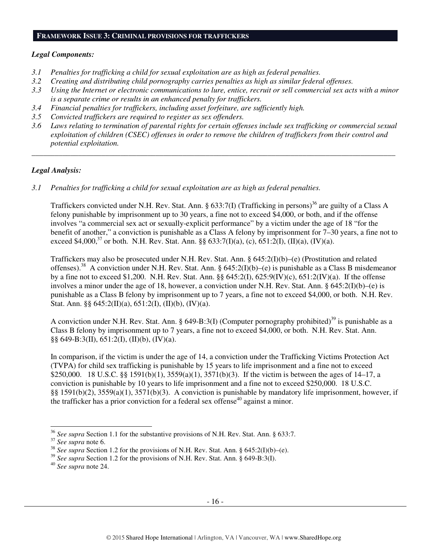#### **FRAMEWORK ISSUE 3: CRIMINAL PROVISIONS FOR TRAFFICKERS**

#### *Legal Components:*

- *3.1 Penalties for trafficking a child for sexual exploitation are as high as federal penalties.*
- *3.2 Creating and distributing child pornography carries penalties as high as similar federal offenses.*
- *3.3 Using the Internet or electronic communications to lure, entice, recruit or sell commercial sex acts with a minor is a separate crime or results in an enhanced penalty for traffickers.*
- *3.4 Financial penalties for traffickers, including asset forfeiture, are sufficiently high.*
- *3.5 Convicted traffickers are required to register as sex offenders.*
- *3.6 Laws relating to termination of parental rights for certain offenses include sex trafficking or commercial sexual exploitation of children (CSEC) offenses in order to remove the children of traffickers from their control and potential exploitation.*

*\_\_\_\_\_\_\_\_\_\_\_\_\_\_\_\_\_\_\_\_\_\_\_\_\_\_\_\_\_\_\_\_\_\_\_\_\_\_\_\_\_\_\_\_\_\_\_\_\_\_\_\_\_\_\_\_\_\_\_\_\_\_\_\_\_\_\_\_\_\_\_\_\_\_\_\_\_\_\_\_\_\_\_\_\_\_\_\_\_\_\_\_\_\_* 

#### *Legal Analysis:*

*3.1 Penalties for trafficking a child for sexual exploitation are as high as federal penalties.* 

Traffickers convicted under N.H. Rev. Stat. Ann. § 633:7(I) (Trafficking in persons)<sup>36</sup> are guilty of a Class A felony punishable by imprisonment up to 30 years, a fine not to exceed \$4,000, or both, and if the offense involves "a commercial sex act or sexually-explicit performance" by a victim under the age of 18 "for the benefit of another," a conviction is punishable as a Class A felony by imprisonment for 7–30 years, a fine not to exceed \$4,000.<sup>37</sup> or both. N.H. Rev. Stat. Ann. §§ 633:7(I)(a), (c), 651:2(I), (II)(a), (IV)(a).

Traffickers may also be prosecuted under N.H. Rev. Stat. Ann. § 645:2(I)(b)–(e) (Prostitution and related offenses).<sup>38</sup> A conviction under N.H. Rev. Stat. Ann. §  $645:2(I)(b)$ –(e) is punishable as a Class B misdemeanor by a fine not to exceed \$1,200. N.H. Rev. Stat. Ann. §§ 645:2(I), 625:9(IV)(c), 651:2(IV)(a). If the offense involves a minor under the age of 18, however, a conviction under N.H. Rev. Stat. Ann. §  $645:2(I)(b)$ –(e) is punishable as a Class B felony by imprisonment up to 7 years, a fine not to exceed \$4,000, or both. N.H. Rev. Stat. Ann.  $\S\S 645:2(II)(a), 651:2(I), (II)(b), (IV)(a).$ 

A conviction under N.H. Rev. Stat. Ann. § 649-B:3(I) (Computer pornography prohibited)<sup>39</sup> is punishable as a Class B felony by imprisonment up to 7 years, a fine not to exceed \$4,000, or both. N.H. Rev. Stat. Ann. §§ 649-B:3(II), 651:2(I), (II)(b), (IV)(a).

In comparison, if the victim is under the age of 14, a conviction under the Trafficking Victims Protection Act (TVPA) for child sex trafficking is punishable by 15 years to life imprisonment and a fine not to exceed \$250,000. 18 U.S.C. §§ 1591(b)(1), 3559(a)(1), 3571(b)(3). If the victim is between the ages of 14–17, a conviction is punishable by 10 years to life imprisonment and a fine not to exceed \$250,000. 18 U.S.C. §§ 1591(b)(2), 3559(a)(1), 3571(b)(3). A conviction is punishable by mandatory life imprisonment, however, if the trafficker has a prior conviction for a federal sex offense<sup>40</sup> against a minor.

 $\overline{a}$ 

<sup>36</sup> *See supra* Section 1.1 for the substantive provisions of N.H. Rev. Stat. Ann. § 633:7.

<sup>37</sup> *See supra* note 6.

<sup>&</sup>lt;sup>38</sup> *See supra* Section 1.2 for the provisions of N.H. Rev. Stat. Ann. § 645:2(I)(b)–(e).

<sup>&</sup>lt;sup>39</sup> See supra Section 1.2 for the provisions of N.H. Rev. Stat. Ann. § 649-B:3(I).

<sup>40</sup> *See supra* note 24.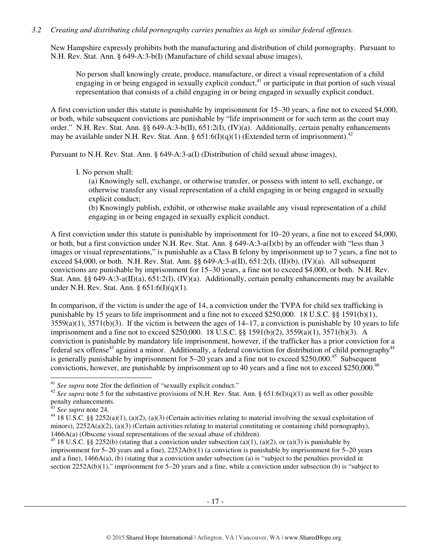## *3.2 Creating and distributing child pornography carries penalties as high as similar federal offenses.*

New Hampshire expressly prohibits both the manufacturing and distribution of child pornography. Pursuant to N.H. Rev. Stat. Ann. § 649-A:3-b(I) (Manufacture of child sexual abuse images),

No person shall knowingly create, produce, manufacture, or direct a visual representation of a child engaging in or being engaged in sexually explicit conduct,  $41$  or participate in that portion of such visual representation that consists of a child engaging in or being engaged in sexually explicit conduct.

A first conviction under this statute is punishable by imprisonment for 15–30 years, a fine not to exceed \$4,000, or both, while subsequent convictions are punishable by "life imprisonment or for such term as the court may order." N.H. Rev. Stat. Ann. §§ 649-A:3-b(II), 651:2(I), (IV)(a). Additionally, certain penalty enhancements may be available under N.H. Rev. Stat. Ann. §  $651:6(I)(q)(1)$  (Extended term of imprisonment).<sup>42</sup>

Pursuant to N.H. Rev. Stat. Ann. § 649-A:3-a(I) (Distribution of child sexual abuse images),

I. No person shall:

(a) Knowingly sell, exchange, or otherwise transfer, or possess with intent to sell, exchange, or otherwise transfer any visual representation of a child engaging in or being engaged in sexually explicit conduct;

(b) Knowingly publish, exhibit, or otherwise make available any visual representation of a child engaging in or being engaged in sexually explicit conduct.

A first conviction under this statute is punishable by imprisonment for 10–20 years, a fine not to exceed \$4,000, or both, but a first conviction under N.H. Rev. Stat. Ann. § 649-A:3-a(I)(b) by an offender with "less than 3 images or visual representations," is punishable as a Class B felony by imprisonment up to 7 years, a fine not to exceed \$4,000, or both. N.H. Rev. Stat. Ann. §§ 649-A:3-a(II), 651:2(I), (II)(b), (IV)(a). All subsequent convictions are punishable by imprisonment for 15–30 years, a fine not to exceed \$4,000, or both. N.H. Rev. Stat. Ann. §§ 649-A:3-a(II)(a), 651:2(I), (IV)(a). Additionally, certain penalty enhancements may be available under N.H. Rev. Stat. Ann. § 651:6(I)(q)(1).

In comparison, if the victim is under the age of 14, a conviction under the TVPA for child sex trafficking is punishable by 15 years to life imprisonment and a fine not to exceed \$250,000. 18 U.S.C. §§ 1591(b)(1),  $3559(a)(1)$ ,  $3571(b)(3)$ . If the victim is between the ages of  $14-17$ , a conviction is punishable by 10 years to life imprisonment and a fine not to exceed \$250,000. 18 U.S.C. §§ 1591(b)(2), 3559(a)(1), 3571(b)(3). A conviction is punishable by mandatory life imprisonment, however, if the trafficker has a prior conviction for a federal sex offense<sup>43</sup> against a minor. Additionally, a federal conviction for distribution of child pornography<sup>44</sup> is generally punishable by imprisonment for  $5-20$  years and a fine not to exceed \$250,000.<sup>45</sup> Subsequent convictions, however, are punishable by imprisonment up to 40 years and a fine not to exceed \$250,000.<sup>46</sup>

 $\ddot{\phantom{a}}$ 

<sup>41</sup> *See supra* note 2for the definition of "sexually explicit conduct."

<sup>&</sup>lt;sup>42</sup> See supra note 5 for the substantive provisions of N.H. Rev. Stat. Ann. § 651:6(I)(q)(1) as well as other possible penalty enhancements.

<sup>43</sup> *See supra* note 24.

<sup>&</sup>lt;sup>44</sup> 18 U.S.C. §§ 2252(a)(1), (a)(2), (a)(3) (Certain activities relating to material involving the sexual exploitation of minors), 2252A(a)(2), (a)(3) (Certain activities relating to material constituting or containing child pornography), 1466A(a) (Obscene visual representations of the sexual abuse of children).

<sup>&</sup>lt;sup>45</sup> 18 U.S.C. §§ 2252(b) (stating that a conviction under subsection (a)(1), (a)(2), or (a)(3) is punishable by imprisonment for 5–20 years and a fine), 2252A(b)(1) (a conviction is punishable by imprisonment for 5–20 years and a fine), 1466A(a), (b) (stating that a conviction under subsection (a) is "subject to the penalties provided in section 2252A(b)(1)," imprisonment for 5–20 years and a fine, while a conviction under subsection (b) is "subject to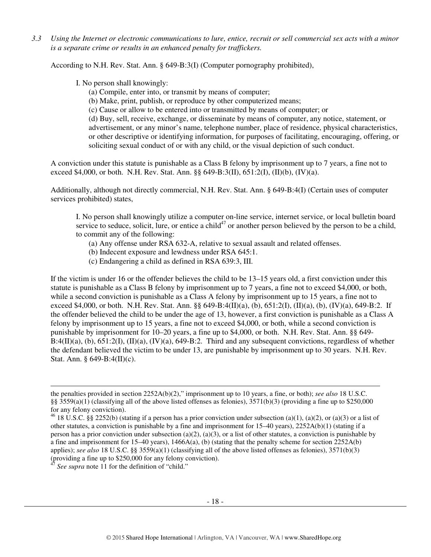*3.3 Using the Internet or electronic communications to lure, entice, recruit or sell commercial sex acts with a minor is a separate crime or results in an enhanced penalty for traffickers.* 

According to N.H. Rev. Stat. Ann. § 649-B:3(I) (Computer pornography prohibited),

I. No person shall knowingly:

- (a) Compile, enter into, or transmit by means of computer;
- (b) Make, print, publish, or reproduce by other computerized means;
- (c) Cause or allow to be entered into or transmitted by means of computer; or

(d) Buy, sell, receive, exchange, or disseminate by means of computer, any notice, statement, or advertisement, or any minor's name, telephone number, place of residence, physical characteristics, or other descriptive or identifying information, for purposes of facilitating, encouraging, offering, or soliciting sexual conduct of or with any child, or the visual depiction of such conduct.

A conviction under this statute is punishable as a Class B felony by imprisonment up to 7 years, a fine not to exceed \$4,000, or both. N.H. Rev. Stat. Ann. §§ 649-B:3(II), 651:2(I), (II)(b), (IV)(a).

Additionally, although not directly commercial, N.H. Rev. Stat. Ann. § 649-B:4(I) (Certain uses of computer services prohibited) states,

I. No person shall knowingly utilize a computer on-line service, internet service, or local bulletin board service to seduce, solicit, lure, or entice a child<sup>47</sup> or another person believed by the person to be a child, to commit any of the following:

- (a) Any offense under RSA 632-A, relative to sexual assault and related offenses.
- (b) Indecent exposure and lewdness under RSA 645:1.
- (c) Endangering a child as defined in RSA 639:3, III.

If the victim is under 16 or the offender believes the child to be 13–15 years old, a first conviction under this statute is punishable as a Class B felony by imprisonment up to 7 years, a fine not to exceed \$4,000, or both, while a second conviction is punishable as a Class A felony by imprisonment up to 15 years, a fine not to exceed \$4,000, or both. N.H. Rev. Stat. Ann. §§ 649-B:4(II)(a), (b), 651:2(I), (II)(a), (b), (IV)(a), 649-B:2. If the offender believed the child to be under the age of 13, however, a first conviction is punishable as a Class A felony by imprisonment up to 15 years, a fine not to exceed \$4,000, or both, while a second conviction is punishable by imprisonment for 10–20 years, a fine up to \$4,000, or both. N.H. Rev. Stat. Ann. §§ 649-  $B:4(II)(a)$ , (b),  $651:2(I)$ ,  $(II)(a)$ ,  $(IV)(a)$ ,  $649-B:2$ . Third and any subsequent convictions, regardless of whether the defendant believed the victim to be under 13, are punishable by imprisonment up to 30 years. N.H. Rev. Stat. Ann. § 649-B:4(II)(c).

 $\overline{a}$ 

the penalties provided in section 2252A(b)(2)," imprisonment up to 10 years, a fine, or both); *see also* 18 U.S.C. §§ 3559(a)(1) (classifying all of the above listed offenses as felonies), 3571(b)(3) (providing a fine up to \$250,000 for any felony conviction).

<sup>&</sup>lt;sup>46</sup> 18 U.S.C. §§ 2252(b) (stating if a person has a prior conviction under subsection (a)(1), (a)(2), or (a)(3) or a list of other statutes, a conviction is punishable by a fine and imprisonment for 15–40 years), 2252A(b)(1) (stating if a person has a prior conviction under subsection (a)(2), (a)(3), or a list of other statutes, a conviction is punishable by a fine and imprisonment for  $15-40$  years),  $1466A(a)$ , (b) (stating that the penalty scheme for section  $2252A(b)$ applies); *see also* 18 U.S.C. §§ 3559(a)(1) (classifying all of the above listed offenses as felonies), 3571(b)(3) (providing a fine up to \$250,000 for any felony conviction).

See supra note 11 for the definition of "child."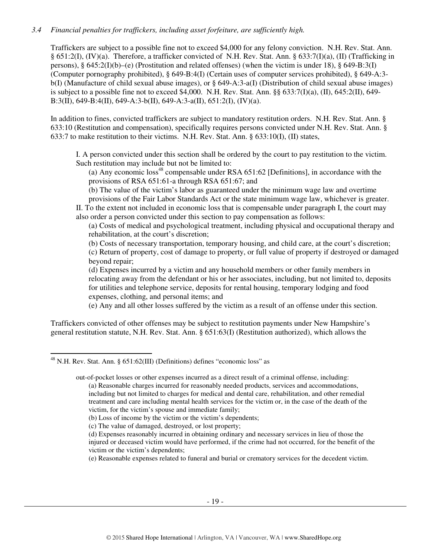## *3.4 Financial penalties for traffickers, including asset forfeiture, are sufficiently high.*

Traffickers are subject to a possible fine not to exceed \$4,000 for any felony conviction. N.H. Rev. Stat. Ann. § 651:2(I), (IV)(a). Therefore, a trafficker convicted of N.H. Rev. Stat. Ann. § 633:7(I)(a), (II) (Trafficking in persons), § 645:2(I)(b)–(e) (Prostitution and related offenses) (when the victim is under 18), § 649-B:3(I) (Computer pornography prohibited), § 649-B:4(I) (Certain uses of computer services prohibited), § 649-A:3 b(I) (Manufacture of child sexual abuse images), or § 649-A:3-a(I) (Distribution of child sexual abuse images) is subject to a possible fine not to exceed \$4,000. N.H. Rev. Stat. Ann. §§ 633:7(I)(a), (II), 645:2(II), 649- B:3(II), 649-B:4(II), 649-A:3-b(II), 649-A:3-a(II), 651:2(I), (IV)(a).

In addition to fines, convicted traffickers are subject to mandatory restitution orders. N.H. Rev. Stat. Ann. § 633:10 (Restitution and compensation), specifically requires persons convicted under N.H. Rev. Stat. Ann. § 633:7 to make restitution to their victims. N.H. Rev. Stat. Ann. § 633:10(I), (II) states,

I. A person convicted under this section shall be ordered by the court to pay restitution to the victim. Such restitution may include but not be limited to:

(a) Any economic loss<sup>48</sup> compensable under RSA  $651:62$  [Definitions], in accordance with the provisions of RSA 651:61-a through RSA 651:67; and

(b) The value of the victim's labor as guaranteed under the minimum wage law and overtime

provisions of the Fair Labor Standards Act or the state minimum wage law, whichever is greater. II. To the extent not included in economic loss that is compensable under paragraph I, the court may also order a person convicted under this section to pay compensation as follows:

(a) Costs of medical and psychological treatment, including physical and occupational therapy and rehabilitation, at the court's discretion;

(b) Costs of necessary transportation, temporary housing, and child care, at the court's discretion;

(c) Return of property, cost of damage to property, or full value of property if destroyed or damaged beyond repair;

(d) Expenses incurred by a victim and any household members or other family members in relocating away from the defendant or his or her associates, including, but not limited to, deposits for utilities and telephone service, deposits for rental housing, temporary lodging and food expenses, clothing, and personal items; and

(e) Any and all other losses suffered by the victim as a result of an offense under this section.

Traffickers convicted of other offenses may be subject to restitution payments under New Hampshire's general restitution statute, N.H. Rev. Stat. Ann. § 651:63(I) (Restitution authorized), which allows the

out-of-pocket losses or other expenses incurred as a direct result of a criminal offense, including: (a) Reasonable charges incurred for reasonably needed products, services and accommodations,

including but not limited to charges for medical and dental care, rehabilitation, and other remedial treatment and care including mental health services for the victim or, in the case of the death of the victim, for the victim's spouse and immediate family;

(e) Reasonable expenses related to funeral and burial or crematory services for the decedent victim.

 $\overline{a}$  $^{48}$  N.H. Rev. Stat. Ann. § 651:62(III) (Definitions) defines "economic loss" as

<sup>(</sup>b) Loss of income by the victim or the victim's dependents;

<sup>(</sup>c) The value of damaged, destroyed, or lost property;

<sup>(</sup>d) Expenses reasonably incurred in obtaining ordinary and necessary services in lieu of those the injured or deceased victim would have performed, if the crime had not occurred, for the benefit of the victim or the victim's dependents;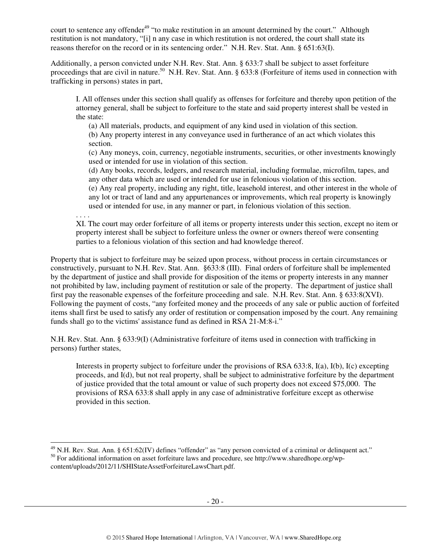court to sentence any offender<sup>49</sup> "to make restitution in an amount determined by the court." Although restitution is not mandatory, "[i] n any case in which restitution is not ordered, the court shall state its reasons therefor on the record or in its sentencing order." N.H. Rev. Stat. Ann. § 651:63(I).

Additionally, a person convicted under N.H. Rev. Stat. Ann. § 633:7 shall be subject to asset forfeiture proceedings that are civil in nature.<sup>50</sup> N.H. Rev. Stat. Ann. § 633:8 (Forfeiture of items used in connection with trafficking in persons) states in part,

I. All offenses under this section shall qualify as offenses for forfeiture and thereby upon petition of the attorney general, shall be subject to forfeiture to the state and said property interest shall be vested in the state:

(a) All materials, products, and equipment of any kind used in violation of this section.

(b) Any property interest in any conveyance used in furtherance of an act which violates this section.

(c) Any moneys, coin, currency, negotiable instruments, securities, or other investments knowingly used or intended for use in violation of this section.

(d) Any books, records, ledgers, and research material, including formulae, microfilm, tapes, and any other data which are used or intended for use in felonious violation of this section.

(e) Any real property, including any right, title, leasehold interest, and other interest in the whole of any lot or tract of land and any appurtenances or improvements, which real property is knowingly used or intended for use, in any manner or part, in felonious violation of this section.

. . . .

XI. The court may order forfeiture of all items or property interests under this section, except no item or property interest shall be subject to forfeiture unless the owner or owners thereof were consenting parties to a felonious violation of this section and had knowledge thereof.

Property that is subject to forfeiture may be seized upon process, without process in certain circumstances or constructively, pursuant to N.H. Rev. Stat. Ann. §633:8 (III). Final orders of forfeiture shall be implemented by the department of justice and shall provide for disposition of the items or property interests in any manner not prohibited by law, including payment of restitution or sale of the property. The department of justice shall first pay the reasonable expenses of the forfeiture proceeding and sale. N.H. Rev. Stat. Ann. § 633:8(XVI). Following the payment of costs, "any forfeited money and the proceeds of any sale or public auction of forfeited items shall first be used to satisfy any order of restitution or compensation imposed by the court. Any remaining funds shall go to the victims' assistance fund as defined in RSA 21-M:8-i."

N.H. Rev. Stat. Ann. § 633:9(I) (Administrative forfeiture of items used in connection with trafficking in persons) further states,

Interests in property subject to forfeiture under the provisions of RSA 633:8, I(a), I(b), I(c) excepting proceeds, and I(d), but not real property, shall be subject to administrative forfeiture by the department of justice provided that the total amount or value of such property does not exceed \$75,000. The provisions of RSA 633:8 shall apply in any case of administrative forfeiture except as otherwise provided in this section.

 $\overline{a}$  $^{49}$  N.H. Rev. Stat. Ann. § 651:62(IV) defines "offender" as "any person convicted of a criminal or delinquent act." <sup>50</sup> For additional information on asset forfeiture laws and procedure, see http://www.sharedhope.org/wpcontent/uploads/2012/11/SHIStateAssetForfeitureLawsChart.pdf.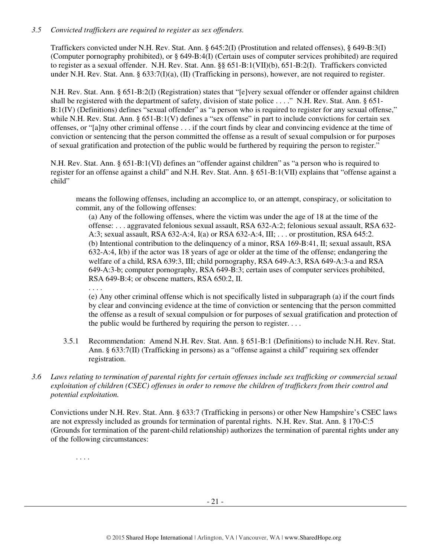## *3.5 Convicted traffickers are required to register as sex offenders.*

Traffickers convicted under N.H. Rev. Stat. Ann. § 645:2(I) (Prostitution and related offenses), § 649-B:3(I) (Computer pornography prohibited), or § 649-B:4(I) (Certain uses of computer services prohibited) are required to register as a sexual offender. N.H. Rev. Stat. Ann. §§ 651-B:1(VII)(b), 651-B:2(I). Traffickers convicted under N.H. Rev. Stat. Ann. § 633:7(I)(a), (II) (Trafficking in persons), however, are not required to register.

N.H. Rev. Stat. Ann. § 651-B:2(I) (Registration) states that "[e]very sexual offender or offender against children shall be registered with the department of safety, division of state police . . . ." N.H. Rev. Stat. Ann. § 651- B:1(IV) (Definitions) defines "sexual offender" as "a person who is required to register for any sexual offense," while N.H. Rev. Stat. Ann. § 651-B:1(V) defines a "sex offense" in part to include convictions for certain sex offenses, or "[a]ny other criminal offense . . . if the court finds by clear and convincing evidence at the time of conviction or sentencing that the person committed the offense as a result of sexual compulsion or for purposes of sexual gratification and protection of the public would be furthered by requiring the person to register."

N.H. Rev. Stat. Ann. § 651-B:1(VI) defines an "offender against children" as "a person who is required to register for an offense against a child" and N.H. Rev. Stat. Ann. § 651-B:1(VII) explains that "offense against a child"

means the following offenses, including an accomplice to, or an attempt, conspiracy, or solicitation to commit, any of the following offenses:

(a) Any of the following offenses, where the victim was under the age of 18 at the time of the offense: . . . aggravated felonious sexual assault, RSA 632-A:2; felonious sexual assault, RSA 632- A:3; sexual assault, RSA 632-A:4, I(a) or RSA 632-A:4, III; . . . or prostitution, RSA 645:2. (b) Intentional contribution to the delinquency of a minor, RSA 169-B:41, II; sexual assault, RSA 632-A:4, I(b) if the actor was 18 years of age or older at the time of the offense; endangering the welfare of a child, RSA 639:3, III; child pornography, RSA 649-A:3, RSA 649-A:3-a and RSA 649-A:3-b; computer pornography, RSA 649-B:3; certain uses of computer services prohibited, RSA 649-B:4; or obscene matters, RSA 650:2, II.

. . . . (e) Any other criminal offense which is not specifically listed in subparagraph (a) if the court finds by clear and convincing evidence at the time of conviction or sentencing that the person committed the offense as a result of sexual compulsion or for purposes of sexual gratification and protection of the public would be furthered by requiring the person to register. . . .

- 3.5.1 Recommendation: Amend N.H. Rev. Stat. Ann. § 651-B:1 (Definitions) to include N.H. Rev. Stat. Ann. § 633:7(II) (Trafficking in persons) as a "offense against a child" requiring sex offender registration.
- *3.6 Laws relating to termination of parental rights for certain offenses include sex trafficking or commercial sexual exploitation of children (CSEC) offenses in order to remove the children of traffickers from their control and potential exploitation.*

Convictions under N.H. Rev. Stat. Ann. § 633:7 (Trafficking in persons) or other New Hampshire's CSEC laws are not expressly included as grounds for termination of parental rights. N.H. Rev. Stat. Ann. § 170-C:5 (Grounds for termination of the parent-child relationship) authorizes the termination of parental rights under any of the following circumstances:

. . . .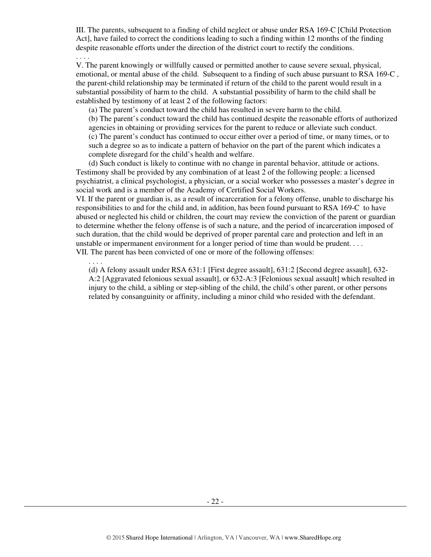III. The parents, subsequent to a finding of child neglect or abuse under RSA 169-C [Child Protection Act], have failed to correct the conditions leading to such a finding within 12 months of the finding despite reasonable efforts under the direction of the district court to rectify the conditions. . . . .

V. The parent knowingly or willfully caused or permitted another to cause severe sexual, physical, emotional, or mental abuse of the child. Subsequent to a finding of such abuse pursuant to RSA 169-C , the parent-child relationship may be terminated if return of the child to the parent would result in a substantial possibility of harm to the child. A substantial possibility of harm to the child shall be established by testimony of at least 2 of the following factors:

(a) The parent's conduct toward the child has resulted in severe harm to the child.

(b) The parent's conduct toward the child has continued despite the reasonable efforts of authorized agencies in obtaining or providing services for the parent to reduce or alleviate such conduct. (c) The parent's conduct has continued to occur either over a period of time, or many times, or to such a degree so as to indicate a pattern of behavior on the part of the parent which indicates a complete disregard for the child's health and welfare.

(d) Such conduct is likely to continue with no change in parental behavior, attitude or actions. Testimony shall be provided by any combination of at least 2 of the following people: a licensed psychiatrist, a clinical psychologist, a physician, or a social worker who possesses a master's degree in social work and is a member of the Academy of Certified Social Workers.

VI. If the parent or guardian is, as a result of incarceration for a felony offense, unable to discharge his responsibilities to and for the child and, in addition, has been found pursuant to RSA 169-C to have abused or neglected his child or children, the court may review the conviction of the parent or guardian to determine whether the felony offense is of such a nature, and the period of incarceration imposed of such duration, that the child would be deprived of proper parental care and protection and left in an unstable or impermanent environment for a longer period of time than would be prudent. . . . VII. The parent has been convicted of one or more of the following offenses:

. . . .

(d) A felony assault under RSA 631:1 [First degree assault], 631:2 [Second degree assault], 632- A:2 [Aggravated felonious sexual assault], or 632-A:3 [Felonious sexual assault] which resulted in injury to the child, a sibling or step-sibling of the child, the child's other parent, or other persons related by consanguinity or affinity, including a minor child who resided with the defendant.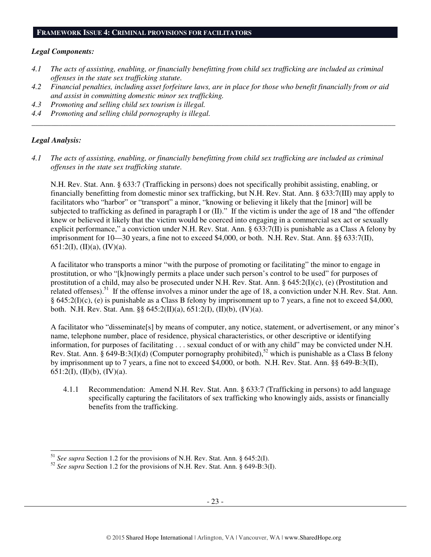#### **FRAMEWORK ISSUE 4: CRIMINAL PROVISIONS FOR FACILITATORS**

#### *Legal Components:*

- *4.1 The acts of assisting, enabling, or financially benefitting from child sex trafficking are included as criminal offenses in the state sex trafficking statute.*
- *4.2 Financial penalties, including asset forfeiture laws, are in place for those who benefit financially from or aid and assist in committing domestic minor sex trafficking.*

*\_\_\_\_\_\_\_\_\_\_\_\_\_\_\_\_\_\_\_\_\_\_\_\_\_\_\_\_\_\_\_\_\_\_\_\_\_\_\_\_\_\_\_\_\_\_\_\_\_\_\_\_\_\_\_\_\_\_\_\_\_\_\_\_\_\_\_\_\_\_\_\_\_\_\_\_\_\_\_\_\_\_\_\_\_\_\_\_\_\_\_\_\_\_* 

- *4.3 Promoting and selling child sex tourism is illegal.*
- *4.4 Promoting and selling child pornography is illegal.*

#### *Legal Analysis:*

 $\overline{a}$ 

*4.1 The acts of assisting, enabling, or financially benefitting from child sex trafficking are included as criminal offenses in the state sex trafficking statute.* 

N.H. Rev. Stat. Ann. § 633:7 (Trafficking in persons) does not specifically prohibit assisting, enabling, or financially benefitting from domestic minor sex trafficking, but N.H. Rev. Stat. Ann. § 633:7(III) may apply to facilitators who "harbor" or "transport" a minor, "knowing or believing it likely that the [minor] will be subjected to trafficking as defined in paragraph I or (II)." If the victim is under the age of 18 and "the offender knew or believed it likely that the victim would be coerced into engaging in a commercial sex act or sexually explicit performance," a conviction under N.H. Rev. Stat. Ann. § 633:7(II) is punishable as a Class A felony by imprisonment for 10—30 years, a fine not to exceed \$4,000, or both. N.H. Rev. Stat. Ann. §§ 633:7(II), 651:2(I), (II)(a), (IV)(a).

A facilitator who transports a minor "with the purpose of promoting or facilitating" the minor to engage in prostitution, or who "[k]nowingly permits a place under such person's control to be used" for purposes of prostitution of a child, may also be prosecuted under N.H. Rev. Stat. Ann. §  $645:2(I)(c)$ , (e) (Prostitution and related offenses).<sup>51</sup> If the offense involves a minor under the age of 18, a conviction under N.H. Rev. Stat. Ann. § 645:2(I)(c), (e) is punishable as a Class B felony by imprisonment up to 7 years, a fine not to exceed \$4,000, both. N.H. Rev. Stat. Ann. §§ 645:2(II)(a), 651:2(I), (II)(b), (IV)(a).

A facilitator who "disseminate[s] by means of computer, any notice, statement, or advertisement, or any minor's name, telephone number, place of residence, physical characteristics, or other descriptive or identifying information, for purposes of facilitating . . . sexual conduct of or with any child" may be convicted under N.H. Rev. Stat. Ann.  $\hat{\S}$  649-B:3(I)(d) (Computer pornography prohibited),<sup>52</sup> which is punishable as a Class B felony by imprisonment up to 7 years, a fine not to exceed \$4,000, or both. N.H. Rev. Stat. Ann. §§ 649-B:3(II), 651:2(I), (II)(b), (IV)(a).

4.1.1 Recommendation: Amend N.H. Rev. Stat. Ann. § 633:7 (Trafficking in persons) to add language specifically capturing the facilitators of sex trafficking who knowingly aids, assists or financially benefits from the trafficking.

<sup>51</sup> *See supra* Section 1.2 for the provisions of N.H. Rev. Stat. Ann. § 645:2(I).

<sup>52</sup> *See supra* Section 1.2 for the provisions of N.H. Rev. Stat. Ann. § 649-B:3(I).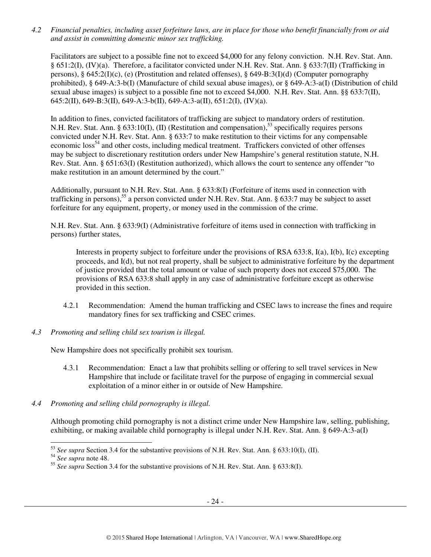*4.2 Financial penalties, including asset forfeiture laws, are in place for those who benefit financially from or aid and assist in committing domestic minor sex trafficking.* 

Facilitators are subject to a possible fine not to exceed \$4,000 for any felony conviction. N.H. Rev. Stat. Ann. § 651:2(I), (IV)(a). Therefore, a facilitator convicted under N.H. Rev. Stat. Ann. § 633:7(II) (Trafficking in persons), § 645:2(I)(c), (e) (Prostitution and related offenses), § 649-B:3(I)(d) (Computer pornography prohibited), § 649-A:3-b(I) (Manufacture of child sexual abuse images), or § 649-A:3-a(I) (Distribution of child sexual abuse images) is subject to a possible fine not to exceed \$4,000. N.H. Rev. Stat. Ann. §§ 633:7(II), 645:2(II), 649-B:3(II), 649-A:3-b(II), 649-A:3-a(II), 651:2(I), (IV)(a).

In addition to fines, convicted facilitators of trafficking are subject to mandatory orders of restitution. N.H. Rev. Stat. Ann. § 633:10(I), (II) (Restitution and compensation),<sup>53</sup> specifically requires persons convicted under N.H. Rev. Stat. Ann. § 633:7 to make restitution to their victims for any compensable economic loss<sup>54</sup> and other costs, including medical treatment. Traffickers convicted of other offenses may be subject to discretionary restitution orders under New Hampshire's general restitution statute, N.H. Rev. Stat. Ann. § 651:63(I) (Restitution authorized), which allows the court to sentence any offender "to make restitution in an amount determined by the court."

Additionally, pursuant to N.H. Rev. Stat. Ann. § 633:8(I) (Forfeiture of items used in connection with trafficking in persons),<sup>55</sup> a person convicted under N.H. Rev. Stat. Ann. § 633:7 may be subject to asset forfeiture for any equipment, property, or money used in the commission of the crime.

N.H. Rev. Stat. Ann. § 633:9(I) (Administrative forfeiture of items used in connection with trafficking in persons) further states,

Interests in property subject to forfeiture under the provisions of RSA 633:8, I(a), I(b), I(c) excepting proceeds, and I(d), but not real property, shall be subject to administrative forfeiture by the department of justice provided that the total amount or value of such property does not exceed \$75,000. The provisions of RSA 633:8 shall apply in any case of administrative forfeiture except as otherwise provided in this section.

- 4.2.1 Recommendation: Amend the human trafficking and CSEC laws to increase the fines and require mandatory fines for sex trafficking and CSEC crimes.
- *4.3 Promoting and selling child sex tourism is illegal.*

New Hampshire does not specifically prohibit sex tourism.

- 4.3.1 Recommendation: Enact a law that prohibits selling or offering to sell travel services in New Hampshire that include or facilitate travel for the purpose of engaging in commercial sexual exploitation of a minor either in or outside of New Hampshire.
- *4.4 Promoting and selling child pornography is illegal.*

Although promoting child pornography is not a distinct crime under New Hampshire law, selling, publishing, exhibiting, or making available child pornography is illegal under N.H. Rev. Stat. Ann. § 649-A:3-a(I)

 $\overline{a}$ <sup>53</sup> *See supra* Section 3.4 for the substantive provisions of N.H. Rev. Stat. Ann. § 633:10(I), (II).

<sup>54</sup> *See supra* note 48.

<sup>55</sup> *See supra* Section 3.4 for the substantive provisions of N.H. Rev. Stat. Ann. § 633:8(I).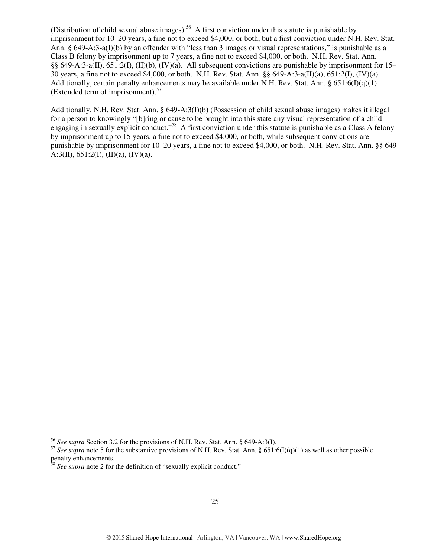(Distribution of child sexual abuse images).<sup>56</sup> A first conviction under this statute is punishable by imprisonment for 10–20 years, a fine not to exceed \$4,000, or both, but a first conviction under N.H. Rev. Stat. Ann. § 649-A:3-a(I)(b) by an offender with "less than 3 images or visual representations," is punishable as a Class B felony by imprisonment up to 7 years, a fine not to exceed \$4,000, or both. N.H. Rev. Stat. Ann. §§ 649-A:3-a(II), 651:2(I), (II)(b), (IV)(a). All subsequent convictions are punishable by imprisonment for 15– 30 years, a fine not to exceed \$4,000, or both. N.H. Rev. Stat. Ann. §§ 649-A:3-a(II)(a), 651:2(I), (IV)(a). Additionally, certain penalty enhancements may be available under N.H. Rev. Stat. Ann.  $\S 651:6(I)(q)(1)$ (Extended term of imprisonment).<sup>57</sup>

Additionally, N.H. Rev. Stat. Ann. § 649-A:3(I)(b) (Possession of child sexual abuse images) makes it illegal for a person to knowingly "[b]ring or cause to be brought into this state any visual representation of a child engaging in sexually explicit conduct."<sup>58</sup> A first conviction under this statute is punishable as a Class A felony by imprisonment up to 15 years, a fine not to exceed \$4,000, or both, while subsequent convictions are punishable by imprisonment for 10–20 years, a fine not to exceed \$4,000, or both. N.H. Rev. Stat. Ann. §§ 649- A:3(II),  $651:2(I), (II)(a), (IV)(a)$ .

 $\overline{a}$ 

<sup>56</sup> *See supra* Section 3.2 for the provisions of N.H. Rev. Stat. Ann. § 649-A:3(I).

<sup>&</sup>lt;sup>57</sup> See supra note 5 for the substantive provisions of N.H. Rev. Stat. Ann. § 651:6(I)(q)(1) as well as other possible penalty enhancements.

<sup>&</sup>lt;sup>58</sup> See supra note 2 for the definition of "sexually explicit conduct."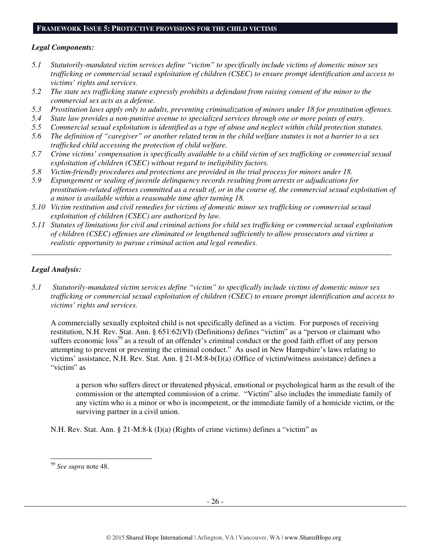#### **FRAMEWORK ISSUE 5: PROTECTIVE PROVISIONS FOR THE CHILD VICTIMS**

#### *Legal Components:*

- *5.1 Statutorily-mandated victim services define "victim" to specifically include victims of domestic minor sex trafficking or commercial sexual exploitation of children (CSEC) to ensure prompt identification and access to victims' rights and services.*
- *5.2 The state sex trafficking statute expressly prohibits a defendant from raising consent of the minor to the commercial sex acts as a defense.*
- *5.3 Prostitution laws apply only to adults, preventing criminalization of minors under 18 for prostitution offenses.*
- *5.4 State law provides a non-punitive avenue to specialized services through one or more points of entry.*
- *5.5 Commercial sexual exploitation is identified as a type of abuse and neglect within child protection statutes.*
- *5.6 The definition of "caregiver" or another related term in the child welfare statutes is not a barrier to a sex trafficked child accessing the protection of child welfare.*
- *5.7 Crime victims' compensation is specifically available to a child victim of sex trafficking or commercial sexual exploitation of children (CSEC) without regard to ineligibility factors.*
- *5.8 Victim-friendly procedures and protections are provided in the trial process for minors under 18.*
- *5.9 Expungement or sealing of juvenile delinquency records resulting from arrests or adjudications for prostitution-related offenses committed as a result of, or in the course of, the commercial sexual exploitation of a minor is available within a reasonable time after turning 18.*
- *5.10 Victim restitution and civil remedies for victims of domestic minor sex trafficking or commercial sexual exploitation of children (CSEC) are authorized by law.*
- *5.11 Statutes of limitations for civil and criminal actions for child sex trafficking or commercial sexual exploitation of children (CSEC) offenses are eliminated or lengthened sufficiently to allow prosecutors and victims a realistic opportunity to pursue criminal action and legal remedies.*

*\_\_\_\_\_\_\_\_\_\_\_\_\_\_\_\_\_\_\_\_\_\_\_\_\_\_\_\_\_\_\_\_\_\_\_\_\_\_\_\_\_\_\_\_\_\_\_\_\_\_\_\_\_\_\_\_\_\_\_\_\_\_\_\_\_\_\_\_\_\_\_\_\_\_\_\_\_\_\_\_\_\_\_\_\_\_\_\_\_\_\_\_\_* 

#### *Legal Analysis:*

*5.1 Statutorily-mandated victim services define "victim" to specifically include victims of domestic minor sex trafficking or commercial sexual exploitation of children (CSEC) to ensure prompt identification and access to victims' rights and services.* 

A commercially sexually exploited child is not specifically defined as a victim. For purposes of receiving restitution, N.H. Rev. Stat. Ann. § 651:62(VI) (Definitions) defines "victim" as a "person or claimant who suffers economic loss<sup>59</sup> as a result of an offender's criminal conduct or the good faith effort of any person attempting to prevent or preventing the criminal conduct." As used in New Hampshire's laws relating to victims' assistance, N.H. Rev. Stat. Ann. § 21-M:8-b(I)(a) (Office of victim/witness assistance) defines a "victim" as

a person who suffers direct or threatened physical, emotional or psychological harm as the result of the commission or the attempted commission of a crime. "Victim" also includes the immediate family of any victim who is a minor or who is incompetent, or the immediate family of a homicide victim, or the surviving partner in a civil union.

N.H. Rev. Stat. Ann. § 21-M:8-k (I)(a) (Rights of crime victims) defines a "victim" as

 $\overline{a}$ <sup>59</sup> *See supra* note 48.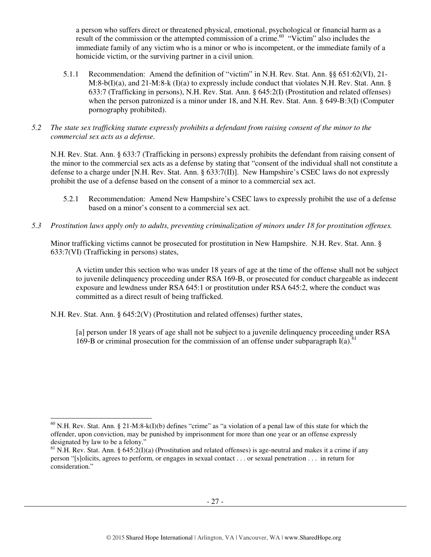a person who suffers direct or threatened physical, emotional, psychological or financial harm as a result of the commission or the attempted commission of a crime.<sup>60</sup> "Victim" also includes the immediate family of any victim who is a minor or who is incompetent, or the immediate family of a homicide victim, or the surviving partner in a civil union.

- 5.1.1 Recommendation: Amend the definition of "victim" in N.H. Rev. Stat. Ann. §§ 651:62(VI), 21-  $M:8-b(1)(a)$ , and 21-M:8-k  $(I)(a)$  to expressly include conduct that violates N.H. Rev. Stat. Ann. § 633:7 (Trafficking in persons), N.H. Rev. Stat. Ann. § 645:2(I) (Prostitution and related offenses) when the person patronized is a minor under 18, and N.H. Rev. Stat. Ann. § 649-B:3(I) (Computer pornography prohibited).
- *5.2 The state sex trafficking statute expressly prohibits a defendant from raising consent of the minor to the commercial sex acts as a defense.*

N.H. Rev. Stat. Ann. § 633:7 (Trafficking in persons) expressly prohibits the defendant from raising consent of the minor to the commercial sex acts as a defense by stating that "consent of the individual shall not constitute a defense to a charge under [N.H. Rev. Stat. Ann. § 633:7(II)]. New Hampshire's CSEC laws do not expressly prohibit the use of a defense based on the consent of a minor to a commercial sex act.

- 5.2.1 Recommendation: Amend New Hampshire's CSEC laws to expressly prohibit the use of a defense based on a minor's consent to a commercial sex act.
- *5.3 Prostitution laws apply only to adults, preventing criminalization of minors under 18 for prostitution offenses.*

Minor trafficking victims cannot be prosecuted for prostitution in New Hampshire. N.H. Rev. Stat. Ann. § 633:7(VI) (Trafficking in persons) states,

A victim under this section who was under 18 years of age at the time of the offense shall not be subject to juvenile delinquency proceeding under RSA 169-B, or prosecuted for conduct chargeable as indecent exposure and lewdness under RSA 645:1 or prostitution under RSA 645:2, where the conduct was committed as a direct result of being trafficked.

N.H. Rev. Stat. Ann. § 645:2(V) (Prostitution and related offenses) further states,

[a] person under 18 years of age shall not be subject to a juvenile delinquency proceeding under RSA 169-B or criminal prosecution for the commission of an offense under subparagraph  $I(a)$ .<sup>61</sup>

 $\overline{a}$  $^{60}$  N.H. Rev. Stat. Ann. § 21-M:8-k(I)(b) defines "crime" as "a violation of a penal law of this state for which the offender, upon conviction, may be punished by imprisonment for more than one year or an offense expressly designated by law to be a felony."

<sup>&</sup>lt;sup>61</sup> N.H. Rev. Stat. Ann. § 645:2(I)(a) (Prostitution and related offenses) is age-neutral and makes it a crime if any person "[s]olicits, agrees to perform, or engages in sexual contact . . . or sexual penetration . . . in return for consideration."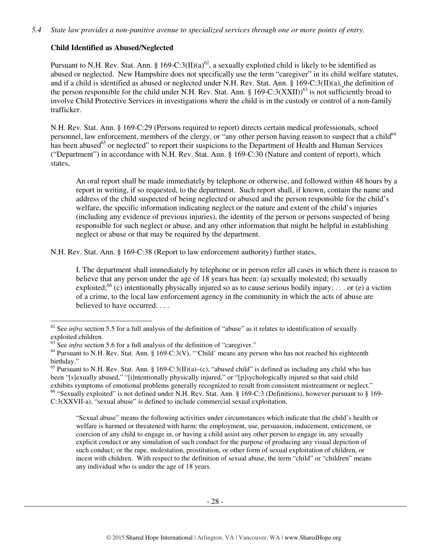# **Child Identified as Abused/Neglected**

Pursuant to N.H. Rev. Stat. Ann. § 169-C:3(II)(a)<sup>62</sup>, a sexually exploited child is likely to be identified as abused or neglected. New Hampshire does not specifically use the term "caregiver" in its child welfare statutes, and if a child is identified as abused or neglected under N.H. Rev. Stat. Ann. § 169-C:3(II)(a), the definition of the person responsible for the child under N.H. Rev. Stat. Ann. § 169-C:3(XXII))<sup>63</sup> is not sufficiently broad to involve Child Protective Services in investigations where the child is in the custody or control of a non-family trafficker.

N.H. Rev. Stat. Ann. § 169-C:29 (Persons required to report) directs certain medical professionals, school personnel, law enforcement, members of the clergy, or "any other person having reason to suspect that a child<sup>64</sup> has been abused<sup>65</sup> or neglected" to report their suspicions to the Department of Health and Human Services ("Department") in accordance with N.H. Rev. Stat. Ann. § 169-C:30 (Nature and content of report), which states,

An oral report shall be made immediately by telephone or otherwise, and followed within 48 hours by a report in writing, if so requested, to the department. Such report shall, if known, contain the name and address of the child suspected of being neglected or abused and the person responsible for the child's welfare, the specific information indicating neglect or the nature and extent of the child's injuries (including any evidence of previous injuries), the identity of the person or persons suspected of being responsible for such neglect or abuse, and any other information that might be helpful in establishing neglect or abuse or that may be required by the department.

N.H. Rev. Stat. Ann. § 169-C:38 (Report to law enforcement authority) further states,

I. The department shall immediately by telephone or in person refer all cases in which there is reason to believe that any person under the age of 18 years has been: (a) sexually molested; (b) sexually exploited;<sup>66</sup> (c) intentionally physically injured so as to cause serious bodily injury; ... or (e) a victim of a crime, to the local law enforcement agency in the community in which the acts of abuse are believed to have occurred. . . .

"Sexual abuse" means the following activities under circumstances which indicate that the child's health or welfare is harmed or threatened with harm: the employment, use, persuasion, inducement, enticement, or coercion of any child to engage in, or having a child assist any other person to engage in, any sexually explicit conduct or any simulation of such conduct for the purpose of producing any visual depiction of such conduct; or the rape, molestation, prostitution, or other form of sexual exploitation of children, or incest with children. With respect to the definition of sexual abuse, the term "child" or "children" means any individual who is under the age of 18 years.

 $\overline{a}$  $62$  See *infra* section 5.5 for a full analysis of the definition of "abuse" as it relates to identification of sexually exploited children.

<sup>&</sup>lt;sup>63</sup> See *infra* section 5.6 for a full analysis of the definition of "caregiver."

<sup>&</sup>lt;sup>64</sup> Pursuant to N.H. Rev. Stat. Ann. § 169-C:3(V), "'Child' means any person who has not reached his eighteenth birthday."

<sup>&</sup>lt;sup>65</sup> Pursuant to N.H. Rev. Stat. Ann. § 169-C:3(II)(a)–(c), "abused child" is defined as including any child who has been "[s]exually abused," "[i]ntentionally physically injured," or "[p]sychologically injured so that said child exhibits symptoms of emotional problems generally recognized to result from consistent mistreatment or neglect." <sup>66</sup> "Sexually exploited" is not defined under N.H. Rev. Stat. Ann. § 169-C:3 (Definitions), however pursuant to § 169-C:3(XXVII-a), "sexual abuse" is defined to include commercial sexual exploitation,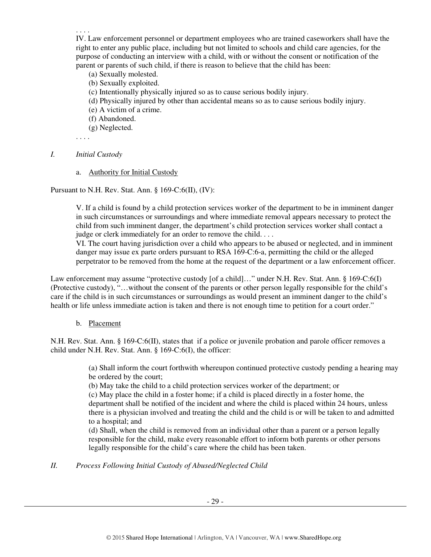. . . .

IV. Law enforcement personnel or department employees who are trained caseworkers shall have the right to enter any public place, including but not limited to schools and child care agencies, for the purpose of conducting an interview with a child, with or without the consent or notification of the parent or parents of such child, if there is reason to believe that the child has been:

- (a) Sexually molested.
- (b) Sexually exploited.
- (c) Intentionally physically injured so as to cause serious bodily injury.
- (d) Physically injured by other than accidental means so as to cause serious bodily injury.
- (e) A victim of a crime.
- (f) Abandoned.
- (g) Neglected.

. . . .

#### *I. Initial Custody*

a. Authority for Initial Custody

Pursuant to N.H. Rev. Stat. Ann. § 169-C:6(II), (IV):

V. If a child is found by a child protection services worker of the department to be in imminent danger in such circumstances or surroundings and where immediate removal appears necessary to protect the child from such imminent danger, the department's child protection services worker shall contact a judge or clerk immediately for an order to remove the child. . . .

VI. The court having jurisdiction over a child who appears to be abused or neglected, and in imminent danger may issue ex parte orders pursuant to RSA 169-C:6-a, permitting the child or the alleged perpetrator to be removed from the home at the request of the department or a law enforcement officer.

Law enforcement may assume "protective custody [of a child]..." under N.H. Rev. Stat. Ann. § 169-C:6(I) (Protective custody), "…without the consent of the parents or other person legally responsible for the child's care if the child is in such circumstances or surroundings as would present an imminent danger to the child's health or life unless immediate action is taken and there is not enough time to petition for a court order."

# b. Placement

N.H. Rev. Stat. Ann. § 169-C:6(II), states that if a police or juvenile probation and parole officer removes a child under N.H. Rev. Stat. Ann. § 169-C:6(I), the officer:

> (a) Shall inform the court forthwith whereupon continued protective custody pending a hearing may be ordered by the court;

(b) May take the child to a child protection services worker of the department; or

(c) May place the child in a foster home; if a child is placed directly in a foster home, the department shall be notified of the incident and where the child is placed within 24 hours, unless there is a physician involved and treating the child and the child is or will be taken to and admitted to a hospital; and

(d) Shall, when the child is removed from an individual other than a parent or a person legally responsible for the child, make every reasonable effort to inform both parents or other persons legally responsible for the child's care where the child has been taken.

# *II. Process Following Initial Custody of Abused/Neglected Child*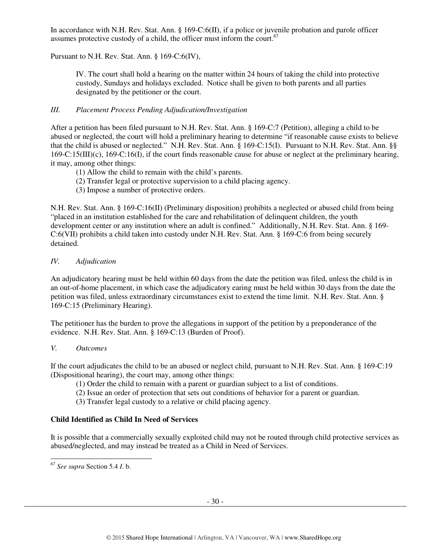In accordance with N.H. Rev. Stat. Ann. § 169-C:6(II), if a police or juvenile probation and parole officer assumes protective custody of a child, the officer must inform the court. $67$ 

Pursuant to N.H. Rev. Stat. Ann. § 169-C:6(IV),

IV. The court shall hold a hearing on the matter within 24 hours of taking the child into protective custody, Sundays and holidays excluded. Notice shall be given to both parents and all parties designated by the petitioner or the court.

## *III. Placement Process Pending Adjudication/Investigation*

After a petition has been filed pursuant to N.H. Rev. Stat. Ann. § 169-C:7 (Petition), alleging a child to be abused or neglected, the court will hold a preliminary hearing to determine "if reasonable cause exists to believe that the child is abused or neglected." N.H. Rev. Stat. Ann. § 169-C:15(I). Pursuant to N.H. Rev. Stat. Ann. §§ 169-C:15(III)(c), 169-C:16(I), if the court finds reasonable cause for abuse or neglect at the preliminary hearing, it may, among other things:

- (1) Allow the child to remain with the child's parents.
- (2) Transfer legal or protective supervision to a child placing agency.
- (3) Impose a number of protective orders.

N.H. Rev. Stat. Ann. § 169-C:16(II) (Preliminary disposition) prohibits a neglected or abused child from being "placed in an institution established for the care and rehabilitation of delinquent children, the youth development center or any institution where an adult is confined." Additionally, N.H. Rev. Stat. Ann. § 169- C:6(VII) prohibits a child taken into custody under N.H. Rev. Stat. Ann. § 169-C:6 from being securely detained.

## *IV. Adjudication*

An adjudicatory hearing must be held within 60 days from the date the petition was filed, unless the child is in an out-of-home placement, in which case the adjudicatory earing must be held within 30 days from the date the petition was filed, unless extraordinary circumstances exist to extend the time limit. N.H. Rev. Stat. Ann. § 169-C:15 (Preliminary Hearing).

The petitioner has the burden to prove the allegations in support of the petition by a preponderance of the evidence. N.H. Rev. Stat. Ann. § 169-C:13 (Burden of Proof).

## *V. Outcomes*

If the court adjudicates the child to be an abused or neglect child, pursuant to N.H. Rev. Stat. Ann. § 169-C:19 (Dispositional hearing), the court may, among other things:

- (1) Order the child to remain with a parent or guardian subject to a list of conditions.
- (2) Issue an order of protection that sets out conditions of behavior for a parent or guardian.
- (3) Transfer legal custody to a relative or child placing agency.

## **Child Identified as Child In Need of Services**

It is possible that a commercially sexually exploited child may not be routed through child protective services as abused/neglected, and may instead be treated as a Child in Need of Services.

 $\overline{a}$ <sup>67</sup> *See supra* Section 5.4 *I*. b.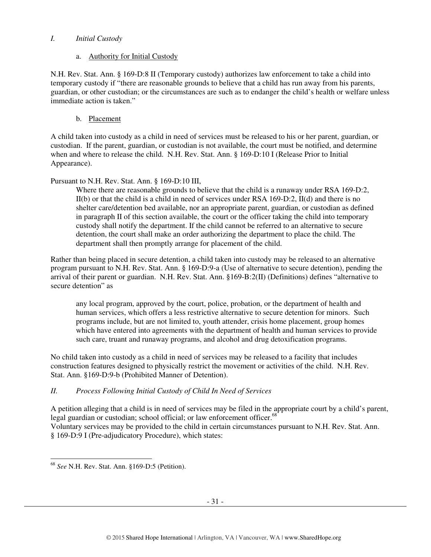## *I. Initial Custody*

## a. Authority for Initial Custody

N.H. Rev. Stat. Ann. § 169-D:8 II (Temporary custody) authorizes law enforcement to take a child into temporary custody if "there are reasonable grounds to believe that a child has run away from his parents, guardian, or other custodian; or the circumstances are such as to endanger the child's health or welfare unless immediate action is taken."

# b. Placement

A child taken into custody as a child in need of services must be released to his or her parent, guardian, or custodian. If the parent, guardian, or custodian is not available, the court must be notified, and determine when and where to release the child. N.H. Rev. Stat. Ann. § 169-D:10 I (Release Prior to Initial Appearance).

# Pursuant to N.H. Rev. Stat. Ann. § 169-D:10 III,

Where there are reasonable grounds to believe that the child is a runaway under RSA 169-D:2,  $II(b)$  or that the child is a child in need of services under RSA 169-D:2,  $II(d)$  and there is no shelter care/detention bed available, nor an appropriate parent, guardian, or custodian as defined in paragraph II of this section available, the court or the officer taking the child into temporary custody shall notify the department. If the child cannot be referred to an alternative to secure detention, the court shall make an order authorizing the department to place the child. The department shall then promptly arrange for placement of the child.

Rather than being placed in secure detention, a child taken into custody may be released to an alternative program pursuant to N.H. Rev. Stat. Ann. § 169-D:9-a (Use of alternative to secure detention), pending the arrival of their parent or guardian. N.H. Rev. Stat. Ann. §169-B:2(II) (Definitions) defines "alternative to secure detention" as

any local program, approved by the court, police, probation, or the department of health and human services, which offers a less restrictive alternative to secure detention for minors. Such programs include, but are not limited to, youth attender, crisis home placement, group homes which have entered into agreements with the department of health and human services to provide such care, truant and runaway programs, and alcohol and drug detoxification programs.

No child taken into custody as a child in need of services may be released to a facility that includes construction features designed to physically restrict the movement or activities of the child. N.H. Rev. Stat. Ann. §169-D:9-b (Prohibited Manner of Detention).

# *II. Process Following Initial Custody of Child In Need of Services*

A petition alleging that a child is in need of services may be filed in the appropriate court by a child's parent, legal guardian or custodian; school official; or law enforcement officer.<sup>68</sup>

Voluntary services may be provided to the child in certain circumstances pursuant to N.H. Rev. Stat. Ann. § 169-D:9 I (Pre-adjudicatory Procedure), which states:

 $\overline{a}$ <sup>68</sup> *See* N.H. Rev. Stat. Ann. §169-D:5 (Petition).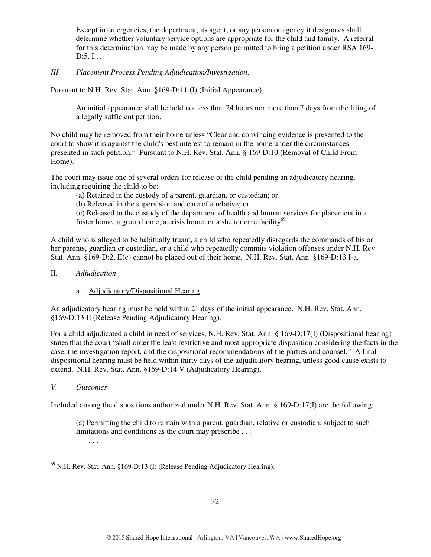Except in emergencies, the department, its agent, or any person or agency it designates shall determine whether voluntary service options are appropriate for the child and family. A referral for this determination may be made by any person permitted to bring a petition under RSA 169- D:5, I…

## *III. Placement Process Pending Adjudication/Investigation:*

Pursuant to N.H. Rev. Stat. Ann. §169-D:11 (I) (Initial Appearance),

An initial appearance shall be held not less than 24 hours nor more than 7 days from the filing of a legally sufficient petition.

No child may be removed from their home unless "Clear and convincing evidence is presented to the court to show it is against the child's best interest to remain in the home under the circumstances presented in such petition." Pursuant to N.H. Rev. Stat. Ann. § 169-D:10 (Removal of Child From Home).

The court may issue one of several orders for release of the child pending an adjudicatory hearing, including requiring the child to be:

(a) Retained in the custody of a parent, guardian, or custodian; or

(b) Released in the supervision and care of a relative; or

(c) Released to the custody of the department of health and human services for placement in a foster home, a group home, a crisis home, or a shelter care facility<sup>69</sup>

A child who is alleged to be habitually truant, a child who repeatedly disregards the commands of his or her parents, guardian or custodian, or a child who repeatedly commits violation offenses under N.H. Rev. Stat. Ann. §169-D:2, II(c) cannot be placed out of their home. N.H. Rev. Stat. Ann. §169-D:13 I-a.

II. *Adjudication*

# a. Adjudicatory/Dispositional Hearing

An adjudicatory hearing must be held within 21 days of the initial appearance. N.H. Rev. Stat. Ann. §169-D:13 II (Release Pending Adjudicatory Hearing).

For a child adjudicated a child in need of services, N.H. Rev. Stat. Ann. § 169-D:17(I) (Dispositional hearing) states that the court "shall order the least restrictive and most appropriate disposition considering the facts in the case, the investigation report, and the dispositional recommendations of the parties and counsel." A final dispositional hearing must be held within thirty days of the adjudicatory hearing, unless good cause exists to extend. N.H. Rev. Stat. Ann. §169-D:14 V (Adjudicatory Hearing).

# *V. Outcomes*

Included among the dispositions authorized under N.H. Rev. Stat. Ann. § 169-D:17(I) are the following:

(a) Permitting the child to remain with a parent, guardian, relative or custodian, subject to such limitations and conditions as the court may prescribe . . . . . . .

 $\overline{a}$  $^{69}$  N.H. Rev. Stat. Ann. §169-D:13 (I) (Release Pending Adjudicatory Hearing).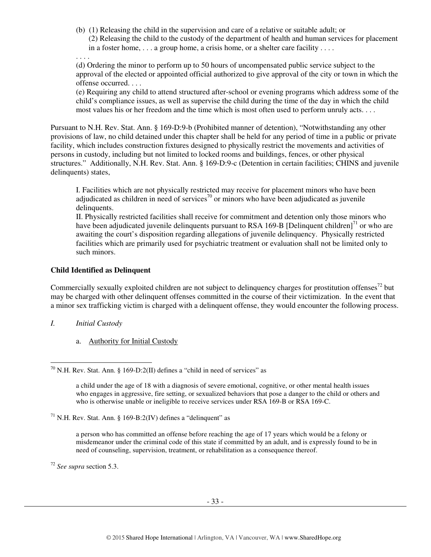- (b) (1) Releasing the child in the supervision and care of a relative or suitable adult; or
	- (2) Releasing the child to the custody of the department of health and human services for placement in a foster home, . . . a group home, a crisis home, or a shelter care facility . . . .
- . . . .

(d) Ordering the minor to perform up to 50 hours of uncompensated public service subject to the approval of the elected or appointed official authorized to give approval of the city or town in which the offense occurred. . . .

(e) Requiring any child to attend structured after-school or evening programs which address some of the child's compliance issues, as well as supervise the child during the time of the day in which the child most values his or her freedom and the time which is most often used to perform unruly acts. . . .

Pursuant to N.H. Rev. Stat. Ann. § 169-D:9-b (Prohibited manner of detention), "Notwithstanding any other provisions of law, no child detained under this chapter shall be held for any period of time in a public or private facility, which includes construction fixtures designed to physically restrict the movements and activities of persons in custody, including but not limited to locked rooms and buildings, fences, or other physical structures." Additionally, N.H. Rev. Stat. Ann. § 169-D:9-c (Detention in certain facilities; CHINS and juvenile delinquents) states,

I. Facilities which are not physically restricted may receive for placement minors who have been adjudicated as children in need of services<sup>70</sup> or minors who have been adjudicated as juvenile delinquents.

II. Physically restricted facilities shall receive for commitment and detention only those minors who have been adjudicated juvenile delinquents pursuant to RSA 169-B [Delinquent children] $<sup>71</sup>$  or who are</sup> awaiting the court's disposition regarding allegations of juvenile delinquency. Physically restricted facilities which are primarily used for psychiatric treatment or evaluation shall not be limited only to such minors.

## **Child Identified as Delinquent**

Commercially sexually exploited children are not subject to delinquency charges for prostitution offenses<sup>72</sup> but may be charged with other delinquent offenses committed in the course of their victimization. In the event that a minor sex trafficking victim is charged with a delinquent offense, they would encounter the following process.

*I. Initial Custody* 

 $\overline{a}$ 

a. Authority for Initial Custody

<sup>72</sup> *See supra* section 5.3.

 $^{70}$  N.H. Rev. Stat. Ann. § 169-D:2(II) defines a "child in need of services" as

a child under the age of 18 with a diagnosis of severe emotional, cognitive, or other mental health issues who engages in aggressive, fire setting, or sexualized behaviors that pose a danger to the child or others and who is otherwise unable or ineligible to receive services under RSA 169-B or RSA 169-C.

 $71$  N.H. Rev. Stat. Ann. § 169-B:2(IV) defines a "delinquent" as

a person who has committed an offense before reaching the age of 17 years which would be a felony or misdemeanor under the criminal code of this state if committed by an adult, and is expressly found to be in need of counseling, supervision, treatment, or rehabilitation as a consequence thereof.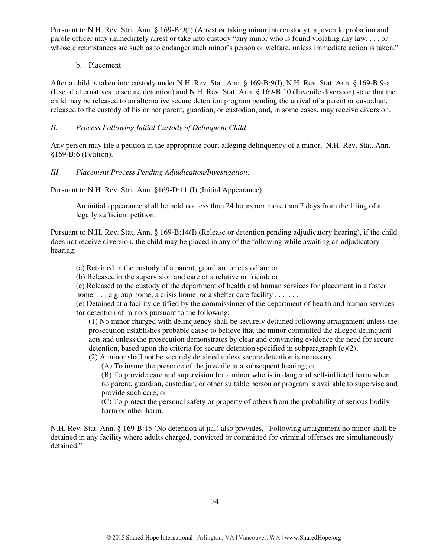Pursuant to N.H. Rev. Stat. Ann. § 169-B:9(I) (Arrest or taking minor into custody), a juvenile probation and parole officer may immediately arrest or take into custody "any minor who is found violating any law, . . . or whose circumstances are such as to endanger such minor's person or welfare, unless immediate action is taken."

b. Placement

After a child is taken into custody under N.H. Rev. Stat. Ann. § 169-B:9(I), N.H. Rev. Stat. Ann. § 169-B:9-a (Use of alternatives to secure detention) and N.H. Rev. Stat. Ann. § 169-B:10 (Juvenile diversion) state that the child may be released to an alternative secure detention program pending the arrival of a parent or custodian, released to the custody of his or her parent, guardian, or custodian, and, in some cases, may receive diversion.

# *II. Process Following Initial Custody of Delinquent Child*

Any person may file a petition in the appropriate court alleging delinquency of a minor. N.H. Rev. Stat. Ann. §169-B:6 (Petition).

# *III. Placement Process Pending Adjudication/Investigation:*

Pursuant to N.H. Rev. Stat. Ann. §169-D:11 (I) (Initial Appearance),

An initial appearance shall be held not less than 24 hours nor more than 7 days from the filing of a legally sufficient petition.

Pursuant to N.H. Rev. Stat. Ann. § 169-B:14(I) (Release or detention pending adjudicatory hearing), if the child does not receive diversion, the child may be placed in any of the following while awaiting an adjudicatory hearing:

(a) Retained in the custody of a parent, guardian, or custodian; or

(b) Released in the supervision and care of a relative or friend; or

(c) Released to the custody of the department of health and human services for placement in a foster home,  $\ldots$  a group home, a crisis home, or a shelter care facility  $\ldots$ ...

(e) Detained at a facility certified by the commissioner of the department of health and human services for detention of minors pursuant to the following:

(1) No minor charged with delinquency shall be securely detained following arraignment unless the prosecution establishes probable cause to believe that the minor committed the alleged delinquent acts and unless the prosecution demonstrates by clear and convincing evidence the need for secure detention, based upon the criteria for secure detention specified in subparagraph (e)(2); (2) A minor shall not be securely detained unless secure detention is necessary:

(A) To insure the presence of the juvenile at a subsequent hearing; or

(B) To provide care and supervision for a minor who is in danger of self-inflicted harm when no parent, guardian, custodian, or other suitable person or program is available to supervise and provide such care; or

(C) To protect the personal safety or property of others from the probability of serious bodily harm or other harm.

N.H. Rev. Stat. Ann. § 169-B:15 (No detention at jail) also provides, "Following arraignment no minor shall be detained in any facility where adults charged, convicted or committed for criminal offenses are simultaneously detained."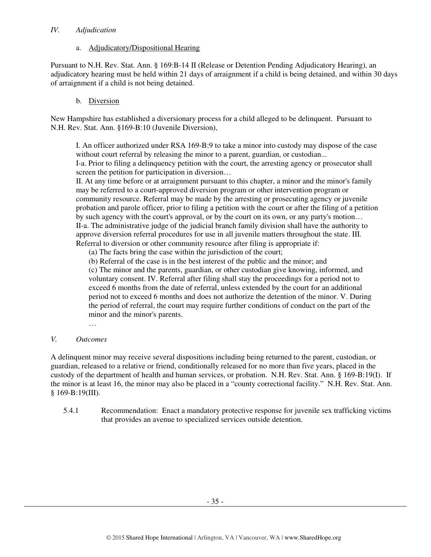#### *IV. Adjudication*

#### a. Adjudicatory/Dispositional Hearing

Pursuant to N.H. Rev. Stat. Ann. § 169:B-14 II (Release or Detention Pending Adjudicatory Hearing), an adjudicatory hearing must be held within 21 days of arraignment if a child is being detained, and within 30 days of arraignment if a child is not being detained.

## b. Diversion

New Hampshire has established a diversionary process for a child alleged to be delinquent. Pursuant to N.H. Rev. Stat. Ann. §169-B:10 (Juvenile Diversion),

I. An officer authorized under RSA 169-B:9 to take a minor into custody may dispose of the case without court referral by releasing the minor to a parent, guardian, or custodian... I-a. Prior to filing a delinquency petition with the court, the arresting agency or prosecutor shall screen the petition for participation in diversion...

II. At any time before or at arraignment pursuant to this chapter, a minor and the minor's family may be referred to a court-approved diversion program or other intervention program or community resource. Referral may be made by the arresting or prosecuting agency or juvenile probation and parole officer, prior to filing a petition with the court or after the filing of a petition by such agency with the court's approval, or by the court on its own, or any party's motion… II-a. The administrative judge of the judicial branch family division shall have the authority to approve diversion referral procedures for use in all juvenile matters throughout the state. III. Referral to diversion or other community resource after filing is appropriate if:

(a) The facts bring the case within the jurisdiction of the court;

(b) Referral of the case is in the best interest of the public and the minor; and

(c) The minor and the parents, guardian, or other custodian give knowing, informed, and voluntary consent. IV. Referral after filing shall stay the proceedings for a period not to exceed 6 months from the date of referral, unless extended by the court for an additional period not to exceed 6 months and does not authorize the detention of the minor. V. During the period of referral, the court may require further conditions of conduct on the part of the minor and the minor's parents.

…

#### *V. Outcomes*

A delinquent minor may receive several dispositions including being returned to the parent, custodian, or guardian, released to a relative or friend, conditionally released for no more than five years, placed in the custody of the department of health and human services, or probation. N.H. Rev. Stat. Ann. § 169-B:19(I). If the minor is at least 16, the minor may also be placed in a "county correctional facility." N.H. Rev. Stat. Ann. § 169-B:19(III).

5.4.1 Recommendation: Enact a mandatory protective response for juvenile sex trafficking victims that provides an avenue to specialized services outside detention.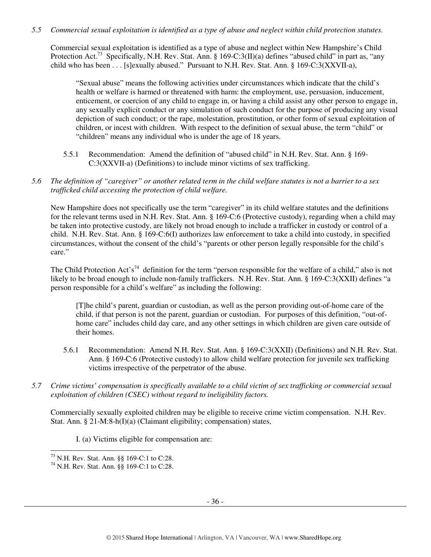*5.5 Commercial sexual exploitation is identified as a type of abuse and neglect within child protection statutes.* 

Commercial sexual exploitation is identified as a type of abuse and neglect within New Hampshire's Child Protection Act.<sup>73</sup> Specifically, N.H. Rev. Stat. Ann. § 169-C:3(II)(a) defines "abused child" in part as, "any child who has been . . . [s]exually abused." Pursuant to N.H. Rev. Stat. Ann. § 169-C:3(XXVII-a),

"Sexual abuse" means the following activities under circumstances which indicate that the child's health or welfare is harmed or threatened with harm: the employment, use, persuasion, inducement, enticement, or coercion of any child to engage in, or having a child assist any other person to engage in, any sexually explicit conduct or any simulation of such conduct for the purpose of producing any visual depiction of such conduct; or the rape, molestation, prostitution, or other form of sexual exploitation of children, or incest with children. With respect to the definition of sexual abuse, the term "child" or "children" means any individual who is under the age of 18 years.

- 5.5.1 Recommendation: Amend the definition of "abused child" in N.H. Rev. Stat. Ann. § 169- C:3(XXVII-a) (Definitions) to include minor victims of sex trafficking.
- *5.6 The definition of "caregiver" or another related term in the child welfare statutes is not a barrier to a sex trafficked child accessing the protection of child welfare.*

New Hampshire does not specifically use the term "caregiver" in its child welfare statutes and the definitions for the relevant terms used in N.H. Rev. Stat. Ann. § 169-C:6 (Protective custody), regarding when a child may be taken into protective custody, are likely not broad enough to include a trafficker in custody or control of a child. N.H. Rev. Stat. Ann. § 169-C:6(I) authorizes law enforcement to take a child into custody, in specified circumstances, without the consent of the child's "parents or other person legally responsible for the child's care."

The Child Protection Act's<sup>74</sup> definition for the term "person responsible for the welfare of a child," also is not likely to be broad enough to include non-family traffickers. N.H. Rev. Stat. Ann. § 169-C:3(XXII) defines "a person responsible for a child's welfare" as including the following:

[T]he child's parent, guardian or custodian, as well as the person providing out-of-home care of the child, if that person is not the parent, guardian or custodian. For purposes of this definition, "out-ofhome care" includes child day care, and any other settings in which children are given care outside of their homes.

- 5.6.1 Recommendation: Amend N.H. Rev. Stat. Ann. § 169-C:3(XXII) (Definitions) and N.H. Rev. Stat. Ann. § 169-C:6 (Protective custody) to allow child welfare protection for juvenile sex trafficking victims irrespective of the perpetrator of the abuse.
- *5.7 Crime victims' compensation is specifically available to a child victim of sex trafficking or commercial sexual exploitation of children (CSEC) without regard to ineligibility factors.*

Commercially sexually exploited children may be eligible to receive crime victim compensation. N.H. Rev. Stat. Ann. § 21-M:8-h(I)(a) (Claimant eligibility; compensation) states,

I. (a) Victims eligible for compensation are:

 $\overline{a}$ 

 $^{73}$  N.H. Rev. Stat. Ann. §§ 169-C:1 to C:28.

<sup>74</sup> N.H. Rev. Stat. Ann. §§ 169-C:1 to C:28.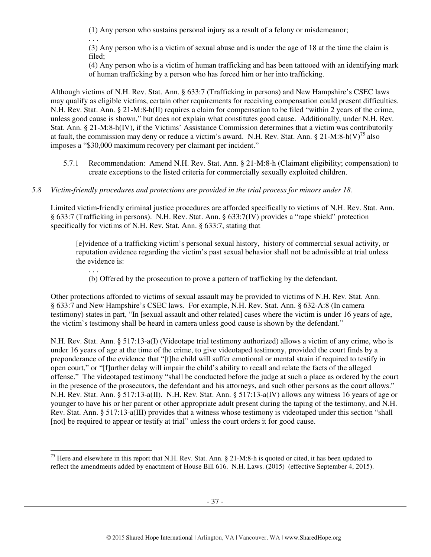(1) Any person who sustains personal injury as a result of a felony or misdemeanor;

. . .

(3) Any person who is a victim of sexual abuse and is under the age of 18 at the time the claim is filed;

(4) Any person who is a victim of human trafficking and has been tattooed with an identifying mark of human trafficking by a person who has forced him or her into trafficking.

Although victims of N.H. Rev. Stat. Ann. § 633:7 (Trafficking in persons) and New Hampshire's CSEC laws may qualify as eligible victims, certain other requirements for receiving compensation could present difficulties. N.H. Rev. Stat. Ann. § 21-M:8-h(II) requires a claim for compensation to be filed "within 2 years of the crime, unless good cause is shown," but does not explain what constitutes good cause. Additionally, under N.H. Rev. Stat. Ann. § 21-M:8-h(IV), if the Victims' Assistance Commission determines that a victim was contributorily at fault, the commission may deny or reduce a victim's award. N.H. Rev. Stat. Ann. § 21-M:8-h(V)<sup>75</sup> also imposes a "\$30,000 maximum recovery per claimant per incident."

5.7.1 Recommendation: Amend N.H. Rev. Stat. Ann. § 21-M:8-h (Claimant eligibility; compensation) to create exceptions to the listed criteria for commercially sexually exploited children.

# *5.8 Victim-friendly procedures and protections are provided in the trial process for minors under 18.*

Limited victim-friendly criminal justice procedures are afforded specifically to victims of N.H. Rev. Stat. Ann. § 633:7 (Trafficking in persons). N.H. Rev. Stat. Ann. § 633:7(IV) provides a "rape shield" protection specifically for victims of N.H. Rev. Stat. Ann. § 633:7, stating that

[e]vidence of a trafficking victim's personal sexual history, history of commercial sexual activity, or reputation evidence regarding the victim's past sexual behavior shall not be admissible at trial unless the evidence is:

. . . (b) Offered by the prosecution to prove a pattern of trafficking by the defendant.

Other protections afforded to victims of sexual assault may be provided to victims of N.H. Rev. Stat. Ann. § 633:7 and New Hampshire's CSEC laws. For example, N.H. Rev. Stat. Ann. § 632-A:8 (In camera testimony) states in part, "In [sexual assault and other related] cases where the victim is under 16 years of age, the victim's testimony shall be heard in camera unless good cause is shown by the defendant."

N.H. Rev. Stat. Ann. § 517:13-a(I) (Videotape trial testimony authorized) allows a victim of any crime, who is under 16 years of age at the time of the crime, to give videotaped testimony, provided the court finds by a preponderance of the evidence that "[t]he child will suffer emotional or mental strain if required to testify in open court," or "[f]urther delay will impair the child's ability to recall and relate the facts of the alleged offense." The videotaped testimony "shall be conducted before the judge at such a place as ordered by the court in the presence of the prosecutors, the defendant and his attorneys, and such other persons as the court allows." N.H. Rev. Stat. Ann. § 517:13-a(II). N.H. Rev. Stat. Ann. § 517:13-a(IV) allows any witness 16 years of age or younger to have his or her parent or other appropriate adult present during the taping of the testimony, and N.H. Rev. Stat. Ann. § 517:13-a(III) provides that a witness whose testimony is videotaped under this section "shall [not] be required to appear or testify at trial" unless the court orders it for good cause.

 $\overline{a}$ <sup>75</sup> Here and elsewhere in this report that N.H. Rev. Stat. Ann. § 21-M:8-h is quoted or cited, it has been updated to reflect the amendments added by enactment of House Bill 616. N.H. Laws. (2015) (effective September 4, 2015).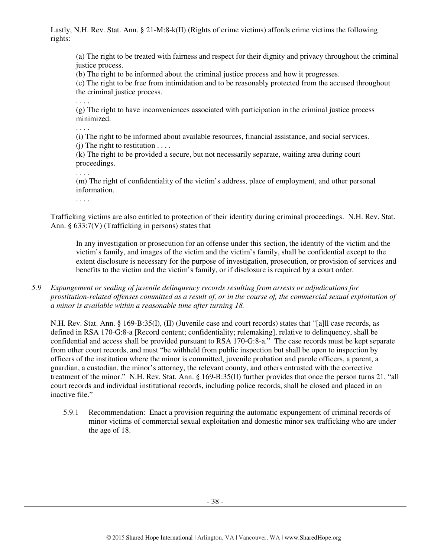Lastly, N.H. Rev. Stat. Ann. § 21-M:8-k(II) (Rights of crime victims) affords crime victims the following rights:

(a) The right to be treated with fairness and respect for their dignity and privacy throughout the criminal justice process.

(b) The right to be informed about the criminal justice process and how it progresses.

(c) The right to be free from intimidation and to be reasonably protected from the accused throughout the criminal justice process.

. . . .

(g) The right to have inconveniences associated with participation in the criminal justice process minimized.

. . . .

(i) The right to be informed about available resources, financial assistance, and social services.  $(i)$  The right to restitution  $\dots$ .

(k) The right to be provided a secure, but not necessarily separate, waiting area during court proceedings.

. . . .

(m) The right of confidentiality of the victim's address, place of employment, and other personal information.

. . . .

Trafficking victims are also entitled to protection of their identity during criminal proceedings. N.H. Rev. Stat. Ann. § 633:7(V) (Trafficking in persons) states that

In any investigation or prosecution for an offense under this section, the identity of the victim and the victim's family, and images of the victim and the victim's family, shall be confidential except to the extent disclosure is necessary for the purpose of investigation, prosecution, or provision of services and benefits to the victim and the victim's family, or if disclosure is required by a court order.

*5.9 Expungement or sealing of juvenile delinquency records resulting from arrests or adjudications for prostitution-related offenses committed as a result of, or in the course of, the commercial sexual exploitation of a minor is available within a reasonable time after turning 18.* 

N.H. Rev. Stat. Ann. § 169-B:35(I), (II) (Juvenile case and court records) states that "[a]ll case records, as defined in RSA 170-G:8-a [Record content; confidentiality; rulemaking], relative to delinquency, shall be confidential and access shall be provided pursuant to RSA 170-G:8-a." The case records must be kept separate from other court records, and must "be withheld from public inspection but shall be open to inspection by officers of the institution where the minor is committed, juvenile probation and parole officers, a parent, a guardian, a custodian, the minor's attorney, the relevant county, and others entrusted with the corrective treatment of the minor." N.H. Rev. Stat. Ann. § 169-B:35(II) further provides that once the person turns 21, "all court records and individual institutional records, including police records, shall be closed and placed in an inactive file."

5.9.1 Recommendation: Enact a provision requiring the automatic expungement of criminal records of minor victims of commercial sexual exploitation and domestic minor sex trafficking who are under the age of 18.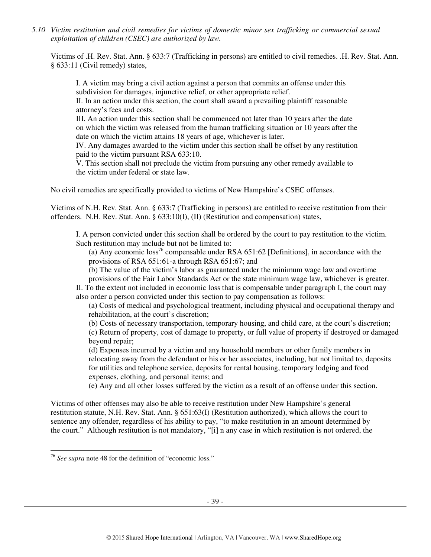*5.10 Victim restitution and civil remedies for victims of domestic minor sex trafficking or commercial sexual exploitation of children (CSEC) are authorized by law.* 

Victims of .H. Rev. Stat. Ann. § 633:7 (Trafficking in persons) are entitled to civil remedies. .H. Rev. Stat. Ann. § 633:11 (Civil remedy) states,

I. A victim may bring a civil action against a person that commits an offense under this subdivision for damages, injunctive relief, or other appropriate relief.

II. In an action under this section, the court shall award a prevailing plaintiff reasonable attorney's fees and costs.

III. An action under this section shall be commenced not later than 10 years after the date on which the victim was released from the human trafficking situation or 10 years after the date on which the victim attains 18 years of age, whichever is later.

IV. Any damages awarded to the victim under this section shall be offset by any restitution paid to the victim pursuant RSA 633:10.

V. This section shall not preclude the victim from pursuing any other remedy available to the victim under federal or state law.

No civil remedies are specifically provided to victims of New Hampshire's CSEC offenses.

Victims of N.H. Rev. Stat. Ann. § 633:7 (Trafficking in persons) are entitled to receive restitution from their offenders. N.H. Rev. Stat. Ann. § 633:10(I), (II) (Restitution and compensation) states,

I. A person convicted under this section shall be ordered by the court to pay restitution to the victim. Such restitution may include but not be limited to:

(a) Any economic loss<sup>76</sup> compensable under RSA  $651:62$  [Definitions], in accordance with the provisions of RSA 651:61-a through RSA 651:67; and

(b) The value of the victim's labor as guaranteed under the minimum wage law and overtime

provisions of the Fair Labor Standards Act or the state minimum wage law, whichever is greater. II. To the extent not included in economic loss that is compensable under paragraph I, the court may also order a person convicted under this section to pay compensation as follows:

(a) Costs of medical and psychological treatment, including physical and occupational therapy and rehabilitation, at the court's discretion;

(b) Costs of necessary transportation, temporary housing, and child care, at the court's discretion;

(c) Return of property, cost of damage to property, or full value of property if destroyed or damaged beyond repair;

(d) Expenses incurred by a victim and any household members or other family members in relocating away from the defendant or his or her associates, including, but not limited to, deposits for utilities and telephone service, deposits for rental housing, temporary lodging and food expenses, clothing, and personal items; and

(e) Any and all other losses suffered by the victim as a result of an offense under this section.

Victims of other offenses may also be able to receive restitution under New Hampshire's general restitution statute, N.H. Rev. Stat. Ann. § 651:63(I) (Restitution authorized), which allows the court to sentence any offender, regardless of his ability to pay, "to make restitution in an amount determined by the court." Although restitution is not mandatory, "[i] n any case in which restitution is not ordered, the

 $\overline{a}$ 

<sup>&</sup>lt;sup>76</sup> See supra note 48 for the definition of "economic loss."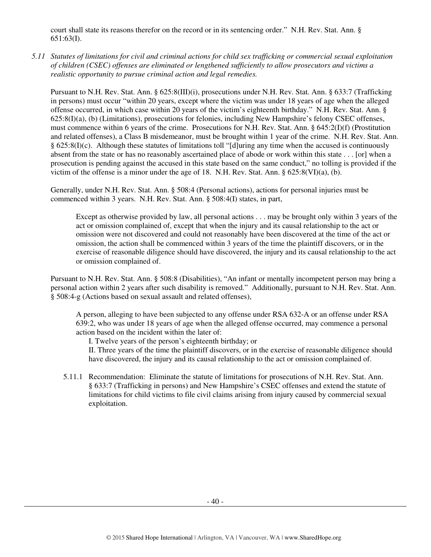court shall state its reasons therefor on the record or in its sentencing order." N.H. Rev. Stat. Ann. § 651:63(I).

*5.11 Statutes of limitations for civil and criminal actions for child sex trafficking or commercial sexual exploitation of children (CSEC) offenses are eliminated or lengthened sufficiently to allow prosecutors and victims a realistic opportunity to pursue criminal action and legal remedies.* 

Pursuant to N.H. Rev. Stat. Ann. § 625:8(III)(i), prosecutions under N.H. Rev. Stat. Ann. § 633:7 (Trafficking in persons) must occur "within 20 years, except where the victim was under 18 years of age when the alleged offense occurred, in which case within 20 years of the victim's eighteenth birthday." N.H. Rev. Stat. Ann. § 625:8(I)(a), (b) (Limitations), prosecutions for felonies, including New Hampshire's felony CSEC offenses, must commence within 6 years of the crime. Prosecutions for N.H. Rev. Stat. Ann. § 645:2(I)(f) (Prostitution and related offenses), a Class B misdemeanor, must be brought within 1 year of the crime. N.H. Rev. Stat. Ann. § 625:8(I)(c). Although these statutes of limitations toll "[d]uring any time when the accused is continuously absent from the state or has no reasonably ascertained place of abode or work within this state . . . [or] when a prosecution is pending against the accused in this state based on the same conduct," no tolling is provided if the victim of the offense is a minor under the age of 18. N.H. Rev. Stat. Ann. § 625:8(VI)(a), (b).

Generally, under N.H. Rev. Stat. Ann. § 508:4 (Personal actions), actions for personal injuries must be commenced within 3 years. N.H. Rev. Stat. Ann. § 508:4(I) states, in part,

Except as otherwise provided by law, all personal actions . . . may be brought only within 3 years of the act or omission complained of, except that when the injury and its causal relationship to the act or omission were not discovered and could not reasonably have been discovered at the time of the act or omission, the action shall be commenced within 3 years of the time the plaintiff discovers, or in the exercise of reasonable diligence should have discovered, the injury and its causal relationship to the act or omission complained of.

Pursuant to N.H. Rev. Stat. Ann. § 508:8 (Disabilities), "An infant or mentally incompetent person may bring a personal action within 2 years after such disability is removed." Additionally, pursuant to N.H. Rev. Stat. Ann. § 508:4-g (Actions based on sexual assault and related offenses),

A person, alleging to have been subjected to any offense under RSA 632-A or an offense under RSA 639:2, who was under 18 years of age when the alleged offense occurred, may commence a personal action based on the incident within the later of:

I. Twelve years of the person's eighteenth birthday; or

II. Three years of the time the plaintiff discovers, or in the exercise of reasonable diligence should have discovered, the injury and its causal relationship to the act or omission complained of.

5.11.1 Recommendation: Eliminate the statute of limitations for prosecutions of N.H. Rev. Stat. Ann. § 633:7 (Trafficking in persons) and New Hampshire's CSEC offenses and extend the statute of limitations for child victims to file civil claims arising from injury caused by commercial sexual exploitation.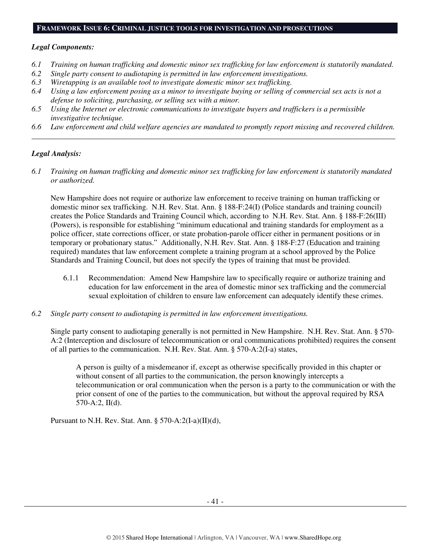#### **FRAMEWORK ISSUE 6: CRIMINAL JUSTICE TOOLS FOR INVESTIGATION AND PROSECUTIONS**

#### *Legal Components:*

- *6.1 Training on human trafficking and domestic minor sex trafficking for law enforcement is statutorily mandated.*
- *6.2 Single party consent to audiotaping is permitted in law enforcement investigations.*
- *6.3 Wiretapping is an available tool to investigate domestic minor sex trafficking.*
- *6.4 Using a law enforcement posing as a minor to investigate buying or selling of commercial sex acts is not a defense to soliciting, purchasing, or selling sex with a minor.*
- *6.5 Using the Internet or electronic communications to investigate buyers and traffickers is a permissible investigative technique.*
- *6.6 Law enforcement and child welfare agencies are mandated to promptly report missing and recovered children. \_\_\_\_\_\_\_\_\_\_\_\_\_\_\_\_\_\_\_\_\_\_\_\_\_\_\_\_\_\_\_\_\_\_\_\_\_\_\_\_\_\_\_\_\_\_\_\_\_\_\_\_\_\_\_\_\_\_\_\_\_\_\_\_\_\_\_\_\_\_\_\_\_\_\_\_\_\_\_\_\_\_\_\_\_\_\_\_\_\_\_\_\_\_*

#### *Legal Analysis:*

*6.1 Training on human trafficking and domestic minor sex trafficking for law enforcement is statutorily mandated or authorized.* 

New Hampshire does not require or authorize law enforcement to receive training on human trafficking or domestic minor sex trafficking. N.H. Rev. Stat. Ann. § 188-F:24(I) (Police standards and training council) creates the Police Standards and Training Council which, according to N.H. Rev. Stat. Ann. § 188-F:26(III) (Powers), is responsible for establishing "minimum educational and training standards for employment as a police officer, state corrections officer, or state probation-parole officer either in permanent positions or in temporary or probationary status." Additionally, N.H. Rev. Stat. Ann. § 188-F:27 (Education and training required) mandates that law enforcement complete a training program at a school approved by the Police Standards and Training Council, but does not specify the types of training that must be provided.

- 6.1.1 Recommendation: Amend New Hampshire law to specifically require or authorize training and education for law enforcement in the area of domestic minor sex trafficking and the commercial sexual exploitation of children to ensure law enforcement can adequately identify these crimes.
- *6.2 Single party consent to audiotaping is permitted in law enforcement investigations.*

Single party consent to audiotaping generally is not permitted in New Hampshire. N.H. Rev. Stat. Ann. § 570- A:2 (Interception and disclosure of telecommunication or oral communications prohibited) requires the consent of all parties to the communication. N.H. Rev. Stat. Ann. § 570-A:2(I-a) states,

A person is guilty of a misdemeanor if, except as otherwise specifically provided in this chapter or without consent of all parties to the communication, the person knowingly intercepts a telecommunication or oral communication when the person is a party to the communication or with the prior consent of one of the parties to the communication, but without the approval required by RSA 570-A:2, II(d).

Pursuant to N.H. Rev. Stat. Ann.  $\S 570-A:2(I-a)(II)(d)$ ,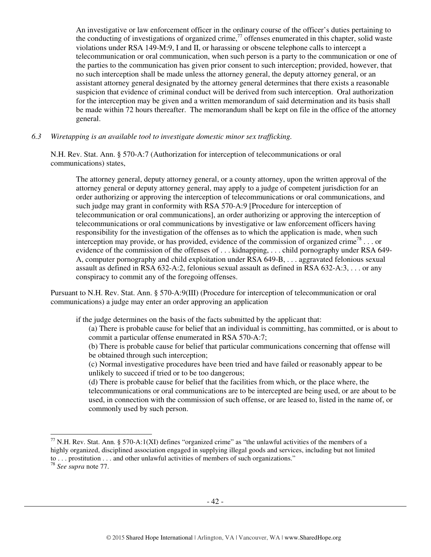An investigative or law enforcement officer in the ordinary course of the officer's duties pertaining to the conducting of investigations of organized crime, $\frac{7}{7}$  offenses enumerated in this chapter, solid waste violations under RSA 149-M:9, I and II, or harassing or obscene telephone calls to intercept a telecommunication or oral communication, when such person is a party to the communication or one of the parties to the communication has given prior consent to such interception; provided, however, that no such interception shall be made unless the attorney general, the deputy attorney general, or an assistant attorney general designated by the attorney general determines that there exists a reasonable suspicion that evidence of criminal conduct will be derived from such interception. Oral authorization for the interception may be given and a written memorandum of said determination and its basis shall be made within 72 hours thereafter. The memorandum shall be kept on file in the office of the attorney general.

*6.3 Wiretapping is an available tool to investigate domestic minor sex trafficking.* 

N.H. Rev. Stat. Ann. § 570-A:7 (Authorization for interception of telecommunications or oral communications) states,

The attorney general, deputy attorney general, or a county attorney, upon the written approval of the attorney general or deputy attorney general, may apply to a judge of competent jurisdiction for an order authorizing or approving the interception of telecommunications or oral communications, and such judge may grant in conformity with RSA 570-A:9 [Procedure for interception of telecommunication or oral communications], an order authorizing or approving the interception of telecommunications or oral communications by investigative or law enforcement officers having responsibility for the investigation of the offenses as to which the application is made, when such interception may provide, or has provided, evidence of the commission of organized crime<sup>78</sup>... or evidence of the commission of the offenses of ... kidnapping, ... child pornography under RSA 649-A, computer pornography and child exploitation under RSA 649-B, . . . aggravated felonious sexual assault as defined in RSA 632-A:2, felonious sexual assault as defined in RSA 632-A:3, . . . or any conspiracy to commit any of the foregoing offenses.

Pursuant to N.H. Rev. Stat. Ann. § 570-A:9(III) (Procedure for interception of telecommunication or oral communications) a judge may enter an order approving an application

if the judge determines on the basis of the facts submitted by the applicant that:

- (a) There is probable cause for belief that an individual is committing, has committed, or is about to commit a particular offense enumerated in RSA 570-A:7;
- (b) There is probable cause for belief that particular communications concerning that offense will be obtained through such interception;
- (c) Normal investigative procedures have been tried and have failed or reasonably appear to be unlikely to succeed if tried or to be too dangerous;

(d) There is probable cause for belief that the facilities from which, or the place where, the telecommunications or oral communications are to be intercepted are being used, or are about to be used, in connection with the commission of such offense, or are leased to, listed in the name of, or commonly used by such person.

 $\overline{a}$ 

 $^{77}$  N.H. Rev. Stat. Ann. § 570-A:1(XI) defines "organized crime" as "the unlawful activities of the members of a highly organized, disciplined association engaged in supplying illegal goods and services, including but not limited to . . . prostitution . . . and other unlawful activities of members of such organizations."

<sup>78</sup> *See supra* note 77.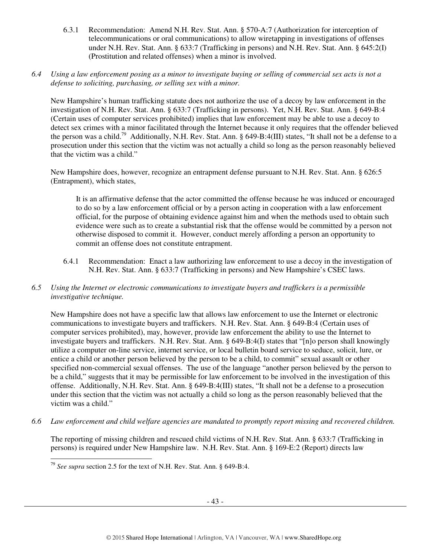- 6.3.1 Recommendation: Amend N.H. Rev. Stat. Ann. § 570-A:7 (Authorization for interception of telecommunications or oral communications) to allow wiretapping in investigations of offenses under N.H. Rev. Stat. Ann. § 633:7 (Trafficking in persons) and N.H. Rev. Stat. Ann. § 645:2(I) (Prostitution and related offenses) when a minor is involved.
- *6.4 Using a law enforcement posing as a minor to investigate buying or selling of commercial sex acts is not a defense to soliciting, purchasing, or selling sex with a minor.*

New Hampshire's human trafficking statute does not authorize the use of a decoy by law enforcement in the investigation of N.H. Rev. Stat. Ann. § 633:7 (Trafficking in persons). Yet, N.H. Rev. Stat. Ann. § 649-B:4 (Certain uses of computer services prohibited) implies that law enforcement may be able to use a decoy to detect sex crimes with a minor facilitated through the Internet because it only requires that the offender believed the person was a child.<sup>79</sup> Additionally, N.H. Rev. Stat. Ann. § 649-B:4(III) states, "It shall not be a defense to a prosecution under this section that the victim was not actually a child so long as the person reasonably believed that the victim was a child."

New Hampshire does, however, recognize an entrapment defense pursuant to N.H. Rev. Stat. Ann. § 626:5 (Entrapment), which states,

It is an affirmative defense that the actor committed the offense because he was induced or encouraged to do so by a law enforcement official or by a person acting in cooperation with a law enforcement official, for the purpose of obtaining evidence against him and when the methods used to obtain such evidence were such as to create a substantial risk that the offense would be committed by a person not otherwise disposed to commit it. However, conduct merely affording a person an opportunity to commit an offense does not constitute entrapment.

- 6.4.1 Recommendation: Enact a law authorizing law enforcement to use a decoy in the investigation of N.H. Rev. Stat. Ann. § 633:7 (Trafficking in persons) and New Hampshire's CSEC laws.
- *6.5 Using the Internet or electronic communications to investigate buyers and traffickers is a permissible investigative technique.*

New Hampshire does not have a specific law that allows law enforcement to use the Internet or electronic communications to investigate buyers and traffickers. N.H. Rev. Stat. Ann. § 649-B:4 (Certain uses of computer services prohibited), may, however, provide law enforcement the ability to use the Internet to investigate buyers and traffickers. N.H. Rev. Stat. Ann. § 649-B:4(I) states that "[n]o person shall knowingly utilize a computer on-line service, internet service, or local bulletin board service to seduce, solicit, lure, or entice a child or another person believed by the person to be a child, to commit" sexual assault or other specified non-commercial sexual offenses. The use of the language "another person believed by the person to be a child," suggests that it may be permissible for law enforcement to be involved in the investigation of this offense. Additionally, N.H. Rev. Stat. Ann. § 649-B:4(III) states, "It shall not be a defense to a prosecution under this section that the victim was not actually a child so long as the person reasonably believed that the victim was a child."

*6.6 Law enforcement and child welfare agencies are mandated to promptly report missing and recovered children.* 

The reporting of missing children and rescued child victims of N.H. Rev. Stat. Ann. § 633:7 (Trafficking in persons) is required under New Hampshire law. N.H. Rev. Stat. Ann. § 169-E:2 (Report) directs law

 $\overline{a}$ <sup>79</sup> *See supra* section 2.5 for the text of N.H. Rev. Stat. Ann. § 649-B:4.